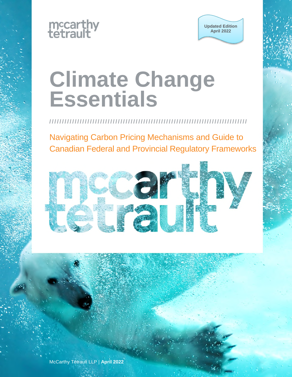



# **Climate Change Essentials**

**/ / / / / / / / / / / / / / / / / / / / / / / / / / / / / / / / / / / / / / / / / / / / / / / / / / / / / / / / / / / / / / / / / / / / / / / / / / / / / /** 

Navigating Carbon Pricing Mechanisms and Guide to Canadian Federal and Provincial Regulatory Frameworks

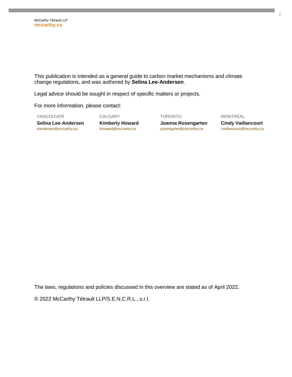This publication is intended as a general guide to carbon market mechanisms and climate change regulations, and was authored by **Selina Lee-Andersen**.

Legal advice should be sought in respect of specific matters or projects.

For more information, please contact:

VANCOUVER CALGARY TORONTO MONTRÉAL

**Selina Lee-Andersen Cindy Vaillancourt** Kimberly Howard **Supering Accommence Cindy Vaillancourt Standersen@mccarthy.ca Supering and Conditation Cindy Vaillancourt Conditation Conditation Conditation Conditatio** jrosengarten@mccarthy.ca

The laws, regulations and policies discussed in this overview are stated as of April 2022.

© 2022 McCarthy Tétrault LLP/S.E.N.C.R.L., s.r.l.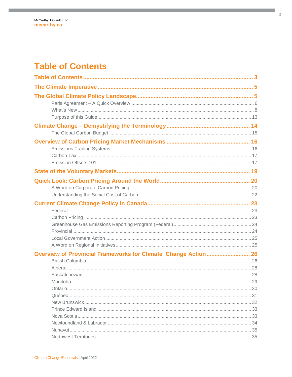# <span id="page-2-0"></span>**Table of Contents**

| Overview of Provincial Frameworks for Climate Change Action 26 |  |
|----------------------------------------------------------------|--|
|                                                                |  |
|                                                                |  |
|                                                                |  |
|                                                                |  |
|                                                                |  |
|                                                                |  |
|                                                                |  |
|                                                                |  |
|                                                                |  |
|                                                                |  |
|                                                                |  |
|                                                                |  |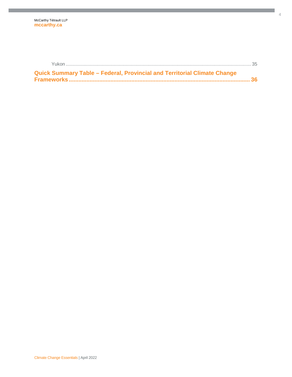| Quick Summary Table - Federal, Provincial and Territorial Climate Change |  |
|--------------------------------------------------------------------------|--|
|                                                                          |  |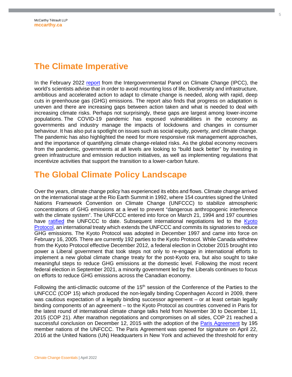# <span id="page-4-0"></span>**The Climate Imperative**

In the February 2022 [report](https://www.ipcc.ch/report/ar6/wg2/) from the Intergovernmental Panel on Climate Change (IPCC), the world's scientists advise that in order to avoid mounting loss of life, biodiversity and infrastructure, ambitious and accelerated action to adapt to climate change is needed, along with rapid, deep cuts in greenhouse gas (GHG) emissions. The report also finds that progress on adaptation is uneven and there are increasing gaps between action taken and what is needed to deal with increasing climate risks. Perhaps not surprisingly, these gaps are largest among lower-income populations. The COVID-19 pandemic has exposed vulnerabilities in the economy as governments and industry manage the impacts of lockdowns and changes in consumer behaviour. It has also put a spotlight on issues such as social equity, poverty, and climate change. The pandemic has also highlighted the need for more responsive risk management approaches, and the importance of quantifying climate change-related risks. As the global economy recovers from the pandemic, governments at all levels are looking to "build back better" by investing in green infrastructure and emission reduction initiatives, as well as implementing regulations that incentivize activities that support the transition to a lower-carbon future.

# <span id="page-4-1"></span>**The Global Climate Policy Landscape**

Over the years, climate change policy has experienced its ebbs and flows. Climate change arrived on the international stage at the Rio Earth Summit in 1992, where 154 countries signed the United Nations Framework Convention on Climate Change (UNFCCC) to stabilize atmospheric concentrations of GHG emissions at a level to prevent "dangerous anthropogenic interference with the climate system". The UNFCCC entered into force on March 21, 1994 and 197 countries have [ratified](https://unfccc.int/process-and-meetings/the-convention/status-of-ratification/status-of-ratification-of-the-convention) the UNFCCC to date. Subsequent international negotiations led to the Kyoto [Protocol, an international treaty which extends the UNFCCC and commits its signatories to reduce](https://unfccc.int/kyoto_protocol)  GHG emissions. The Kyoto Protocol was adopted in December 1997 and came into force on February 16, 2005. There are currently 192 parties to the Kyoto Protocol. While Canada withdrew from the Kyoto Protocol effective December 2012, a federal election in October 2015 brought into power a Liberal government that took steps not only to re-engage in international efforts to implement a new global climate change treaty for the post-Kyoto era, but also sought to take meaningful steps to reduce GHG emissions at the domestic level. Following the most recent federal election in September 2021, a minority government led by the Liberals continues to focus on efforts to reduce GHG emissions across the Canadian economy.

Following the anti-climactic outcome of the  $15<sup>th</sup>$  session of the Conference of the Parties to the UNFCCC (COP 15) which produced the non-legally binding Copenhagen Accord in 2009, there was cautious expectation of a legally binding successor agreement – or at least certain legally binding components of an agreement – to the Kyoto Protocol as countries convened in Paris for the latest round of international climate change talks held from November 30 to December 11, 2015 (COP 21). After marathon negotiations and compromises on all sides, COP 21 reached a successful conclusion on December 12, 2015 with the adoption of the [Paris Agreement](http://unfccc.int/resource/docs/2015/cop21/eng/l09.pdf) by 195 member nations of the UNFCCC. The Paris Agreement was opened for signature on April 22, 2016 at the United Nations (UN) Headquarters in New York and achieved the threshold for entry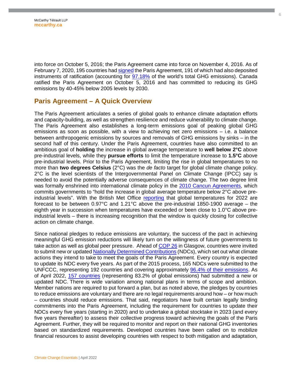into force on October 5, 2016; the Paris Agreement came into force on November 4, 2016. As of February 7, 2020, 195 countries had [signed](http://unfccc.int/paris_agreement/items/9444.php) the Paris Agreement, 191 of which had also deposited instruments of ratification (accounting for [97.18%](https://cait.wri.org/indc/#/ratification) of the world's total GHG emissions). Canada ratified the Paris Agreement on October 5, 2016 and has committed to reducing its GHG emissions by 40-45% below 2005 levels by 2030.

#### <span id="page-5-0"></span>**Paris Agreement – A Quick Overview**

The Paris Agreement articulates a series of global goals to enhance climate adaptation efforts and capacity-building, as well as strengthen resilience and reduce vulnerability to climate change. The Paris Agreement also establishes a long-term emissions goal of peaking global GHG emissions as soon as possible, with a view to achieving net zero emissions – i.e. a balance between anthropogenic emissions by sources and removals of GHG emissions by sinks – in the second half of this century. Under the Paris Agreement, countries have also committed to an ambitious goal of **holding** the increase in global average temperature to **well below 2°C** above pre-industrial levels, while they **pursue efforts** to limit the temperature increase to **1.5°C** above pre-industrial levels. Prior to the Paris Agreement, limiting the rise in global temperatures to no more than **two degrees Celsius** (2°C) was the *de facto* target for global climate change policy. 2°C is the level scientists of the Intergovernmental Panel on Climate Change (IPCC) say is needed to avoid the potentially adverse consequences of climate change. The two degree limit was formally enshrined into international climate policy in the [2010 Cancun Agreements](https://unfccc.int/process/conferences/pastconferences/cancun-climate-change-conference-november-2010/statements-and-resources/Agreements), which commits governments to "hold the increase in global average temperature below 2°C above preindustrial levels". With the British Met Office [reporting](https://www.metoffice.gov.uk/about-us/press-office/news/weather-and-climate/2021/2022-global-temperature-forecast) that global temperatures for 2022 are forecast to be between 0.97°C and 1.21°C above the pre-industrial 1850-1900 average – the eighth year in succession when temperatures have exceeded or been close to 1.0°C above preindustrial levels – there is increasing recognition that the window is quickly closing for collective action on climate change.

Since national pledges to reduce emissions are voluntary, the success of the pact in achieving meaningful GHG emission reductions will likely turn on the willingness of future governments to take action as well as global peer pressure. Ahead of [COP 26](https://ukcop26.org/) in Glasgow, countries were invited to submit new or updated [Nationally Determined Contributions](https://unfccc.int/process-and-meetings/the-paris-agreement/nationally-determined-contributions-ndcs/nationally-determined-contributions-ndcs) (NDCs), which set out what climate actions they intend to take to meet the goals of the Paris Agreement. Every country is expected to update its NDC every five years. As part of the 2015 process, 165 NDCs were submitted to the UNFCCC, representing 192 countries and covering approximately [96.4% of their emissions.](https://cait.wri.org/indc/#/) As of April 2022, [157 countries](https://www.climatewatchdata.org/2020-ndc-tracker) (representing 83.2% of global emissions) had submitted a new or updated NDC. There is wide variation among national plans in terms of scope and ambition. Member nations are required to put forward a plan, but as noted above, the pledges by countries to reduce emissions are voluntary and there are no legal requirements around how – or how much – countries should reduce emissions. That said, negotiators have built certain legally binding commitments into the Paris Agreement, including the requirement for countries to update their NDCs every five years (starting in 2020) and to undertake a global stocktake in 2023 (and every five years thereafter) to assess their collective progress toward achieving the goals of the Paris Agreement. Further, they will be required to monitor and report on their national GHG inventories based on standardized requirements. Developed countries have been called on to mobilize financial resources to assist developing countries with respect to both mitigation and adaptation,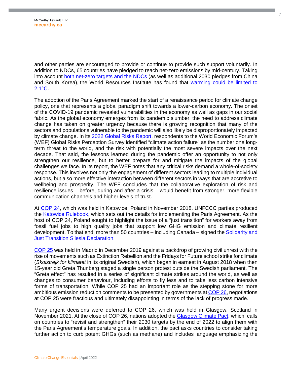and other parties are encouraged to provide or continue to provide such support voluntarily. In addition to NDCs, 65 countries have pledged to reach net-zero emissions by mid-century. Taking into account [both net-zero targets and the NDCs](https://www.wri.org/insights/understanding-ndcs-paris-agreement-climate-pledges) (as well as additional 2030 pledges from China and South Korea), the World Resources Institute has found that [warming could be limited to](https://www.wri.org/research/closing-the-gap-g20-climate-commitments-limiting-global-temperature-rise)  [2.1°C.](https://www.wri.org/research/closing-the-gap-g20-climate-commitments-limiting-global-temperature-rise) 

The adoption of the Paris Agreement marked the start of a renaissance period for climate change policy, one that represents a global paradigm shift towards a lower-carbon economy. The onset of the COVID-19 pandemic revealed vulnerabilities in the economy as well as gaps in our social fabric. As the global economy emerges from its pandemic slumber, the need to address climate change has taken on greater urgency because there is growing recognition that many of the sectors and populations vulnerable to the pandemic will also likely be disproportionately impacted by climate change. In its [2022 Global Risks Report](https://www.weforum.org/reports/global-risks-report-2022), respondents to the World Economic Forum's (WEF) Global Risks Perception Survey identified "climate action failure" as the number one longterm threat to the world, and the risk with potentially the most severe impacts over the next decade. That said, the lessons learned during the pandemic offer an opportunity to not only strengthen our resilience, but to better prepare for and mitigate the impacts of the global challenges we face. In its report, the WEF notes that any critical risks demand a whole-of-society response. This involves not only the engagement of different sectors leading to multiple individual actions, but also more effective interaction between different sectors in ways that are accretive to wellbeing and prosperity. The WEF concludes that the collaborative exploration of risk and resilience issues – before, during and after a crisis – would benefit from stronger, more flexible communication channels and higher levels of trust.

At [COP 24](https://cop24.gov.pl/), which was held in Katowice, Poland in November 2018, UNFCCC parties produced the [Katowice Rulebook,](https://unfccc.int/process-and-meetings/the-paris-agreement/the-katowice-climate-package/katowice-climate-package) which sets out the details for implementing the Paris Agreement. As the host of COP 24, Poland sought to highlight the issue of a "just transition" for workers away from fossil fuel jobs to high quality jobs that support low GHG emission and climate resilient development. To that end, more than 50 countries – including Canada – signed the [Solidarity and](https://cop24.gov.pl/fileadmin/user_upload/files/Solidarity_and_Just_Transition_Silesia_Declaration.pdf)  [Just Transition Silesia Declaration.](https://cop24.gov.pl/fileadmin/user_upload/files/Solidarity_and_Just_Transition_Silesia_Declaration.pdf) 

[COP 25](https://unfccc.int/cop25) was held in Madrid in December 2019 against a backdrop of growing civil unrest with the rise of movements such as Extinction Rebellion and the Fridays for Future school strike for climate (*Skolstrejk för klimatet* in its original Swedish), which began in earnest in August 2018 when then 15-year old Greta Thunberg staged a single person protest outside the Swedish parliament. The "Greta effect" has resulted in a series of significant climate strikes around the world, as well as changes to consumer behaviour, including efforts to fly less and to take less carbon intensive forms of transportation. While COP 25 had an important role as the stepping stone for more ambitious emission reduction comments to be presented by governments at [COP 26](https://www.ukcop26.org/), negotiations at COP 25 were fractious and ultimately disappointing in terms of the lack of progress made.

Many urgent decisions were deferred to COP 26, which was held in Glasgow, Scotland in November 2021. At the close of COP 26, nations adopted the [Glasgow Climate Pact,](https://unfccc.int/documents/310475) which calls on countries to "revisit and strengthen" their 2030 targets by the end of 2022 to align them with the Paris Agreement's temperature goals. In addition, the pact asks countries to consider taking further action to curb potent GHGs (such as methane) and includes language emphasizing the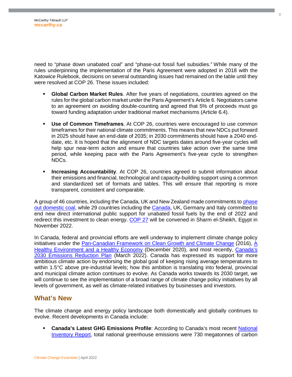need to "phase down unabated coal" and "phase-out fossil fuel subsidies." While many of the rules underpinning the implementation of the Paris Agreement were adopted in 2018 with the Katowice Rulebook, decisions on several outstanding issues had remained on the table until they were resolved at COP 26. These issues included:

- **Global Carbon Market Rules**. After five years of negotiations, countries agreed on the rules for the global carbon market under the Paris Agreement's Article 6. Negotiators came to an agreement on avoiding double-counting and agreed that 5% of proceeds must go toward funding adaptation under traditional market mechanisms (Article 6.4).
- **Use of Common Timeframes**. At COP 26, countries were encouraged to use common timeframes for their national climate commitments. This means that new NDCs put forward in 2025 should have an end-date of 2035; in 2030 commitments should have a 2040 enddate, etc. It is hoped that the alignment of NDC targets dates around five-year cycles will help spur near-term action and ensure that countries take action over the same time period, while keeping pace with the Paris Agreement's five-year cycle to strengthen NDCs.
- **Increasing Accountability**. At COP 26, countries agreed to submit information about their emissions and financial, technological and capacity-building support using a common and standardized set of formats and tables. This will ensure that reporting is more transparent, consistent and comparable.

A group of 46 countries, including the Canada, UK and New Zealand made commitments to phase [out domestic coal, while 29 countries including the](https://ukcop26.org/global-coal-to-clean-power-transition-statement/) [Canada](https://www.canada.ca/en/natural-resources-canada/news/2021/11/canada-announces-commitment-to-end-new-direct-public-support-for-the-international-unabated-fossil-fuel-sector-by-the-end-of-2022.html)[, UK, Germany and Italy committed to](https://ukcop26.org/global-coal-to-clean-power-transition-statement/)  end new direct international public support for unabated fossil fuels by the end of 2022 and redirect this investment to clean energy. [COP 27](https://unfccc.int/process-and-meetings/conferences/the-road-to-sharm-el-sheikh-informal-consultations-by-the-cop-26-presidency-and-the-cop-27-incoming) will be convened in Sharm el-Sheikh, Egypt in November 2022.

In Canada, federal and provincial efforts are well underway to implement climate change policy initiatives under the [Pan-Canadian Framework on Clean Growth and Climate Change](https://publications.gc.ca/collections/collection_2017/eccc/En4-294-2016-eng.pdf) (2016), A [Healthy Environment and a Healthy Economy \(December 2020\), and most recently, Canada's](https://www.canada.ca/en/services/environment/weather/climatechange/climate-plan/climate-plan-overview/healthy-environment-healthy-economy.html)  [2030 Emissions Reduction Plan \(March 2022\). Canada has expressed its support for more](https://www.canada.ca/en/services/environment/weather/climatechange/climate-plan/climate-plan-overview/emissions-reduction-2030.html)  ambitious climate action by endorsing the global goal of keeping rising average temperatures to within 1.5°C above pre-industrial levels; how this ambition is translating into federal, provincial and municipal climate action continues to evolve. As Canada works towards its 2030 target, we will continue to see the implementation of a broad range of climate change policy initiatives by all levels of government, as well as climate-related initiatives by businesses and investors.

#### <span id="page-7-0"></span>**What's New**

The climate change and energy policy landscape both domestically and globally continues to evolve. Recent developments in Canada include:

 **Canada's Latest GHG Emissions Profile**: According to Canada's most recent [National](https://unfccc.int/documents/271493)  [Inventory Report, total national greenhouse emissions were 730 megatonnes of carbon](https://unfccc.int/documents/271493)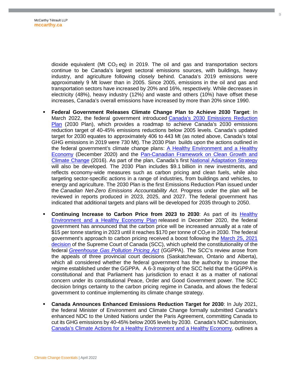dioxide equivalent (Mt  $CO<sub>2</sub>$  eq) in 2019. The oil and gas and transportation sectors continue to be Canada's largest sectoral emissions sources, with buildings, heavy industry, and agriculture following closely behind. Canada's 2019 emissions were approximately 9 Mt lower than in 2005. Since 2005, emissions in the oil and gas and transportation sectors have increased by 20% and 16%, respectively. While decreases in electricity (48%), heavy industry (12%) and waste and others (10%) have offset these increases, Canada's overall emissions have increased by more than 20% since 1990.

- **Federal Government Releases Climate Change Plan to Achieve 2030 Target**: In March 2022, the federal government introduced [Canada's 2030 Emissions Reduction](https://www.canada.ca/en/services/environment/weather/climatechange/climate-plan/climate-plan-overview/emissions-reduction-2030.html)  [Plan \(2030 Plan\), which provides a roadmap to achieve Canada's 2030 emissions](https://www.canada.ca/en/services/environment/weather/climatechange/climate-plan/climate-plan-overview/emissions-reduction-2030.html)  reduction target of 40-45% emissions reductions below 2005 levels. Canada's updated target for 2030 equates to approximately 406 to 443 Mt (as noted above, Canada's total GHG emissions in 2019 were 730 Mt). The 2030 Plan builds upon the actions outlined in the federal government's climate change plans: [A Healthy Environment and a Healthy](https://www.canada.ca/en/services/environment/weather/climatechange/climate-plan/climate-plan-overview/healthy-environment-healthy-economy.html)  [Economy \(December 2020\) and the Pan-Canadian Framework on Clean Growth and](https://www.canada.ca/en/services/environment/weather/climatechange/climate-plan/climate-plan-overview/healthy-environment-healthy-economy.html)  [Climate Change \(2016\). As part of the plan, Canada's first](https://publications.gc.ca/collections/collection_2017/eccc/En4-294-2016-eng.pdf) [National Adaptation Strategy](https://www.canada.ca/en/services/environment/weather/climatechange/climate-plan/national-adaptation-strategy.html) will also be developed. The 2030 Plan includes \$9.1 billion in new investments, and reflects economy-wide measures such as carbon pricing and clean fuels, while also targeting sector-specific actions in a range of industries, from buildings and vehicles, to energy and agriculture. The 2030 Plan is the first Emissions Reduction Plan issued under the *Canadian Net-Zero Emissions Accountability Act*. Progress under the plan will be reviewed in reports produced in 2023, 2025, and 2027. The federal government has indicated that additional targets and plans will be developed for 2035 through to 2050.
- **Continuing Increase to Carbon Price from 2023 to 2030**: As part of its **Healthy** [Environment and a Healthy Economy Plan released in December 2020, the federal](https://www.canada.ca/content/dam/eccc/documents/pdf/climate-change/climate-plan/healthy_environment_healthy_economy_plan.pdf)  government has announced that the carbon price will be increased annually at a rate of \$15 per tonne starting in 2023 until it reaches \$170 per tonne of  $CO<sub>2</sub>e$  in 2030. The federal government's approach to carbon pricing received a boost following the [March 25, 2021](https://www.scc-csc.ca/case-dossier/cb/2021/38663-38781-39116-eng.aspx)  [decision of the Supreme Court of Canada \(SCC\), which upheld the constitutionality of the](https://www.scc-csc.ca/case-dossier/cb/2021/38663-38781-39116-eng.aspx)  federal *[Greenhouse Gas Pollution Pricing Act](https://laws-lois.justice.gc.ca/eng/acts/G-11.55/FullText.html)* (GGPPA). The SCC's review arose from the appeals of three provincial court decisions (Saskatchewan, Ontario and Alberta), which all considered whether the federal government has the authority to impose the regime established under the GGPPA*.* A 6-3 majority of the SCC held that the GGPPA is constitutional and that Parliament has jurisdiction to enact it as a matter of national concern under its constitutional Peace, Order and Good Government power. The SCC decision brings certainty to the carbon pricing regime in Canada, and allows the federal government to continue implementing its climate change strategy.
- **Canada Announces Enhanced Emissions Reduction Target for 2030**: In July 2021, the federal Minister of Environment and Climate Change formally submitted Canada's enhanced NDC to the United Nations under the Paris Agreement, committing Canada to cut its GHG emissions by 40-45% below 2005 levels by 2030. Canada's NDC submission, [Canada's Climate Actions for a Healthy Environment and a Healthy Economy,](https://www.canada.ca/en/services/environment/weather/climatechange/climate-plan/climate-plan-overview/actions-healthy-environment-economy.html) outlines a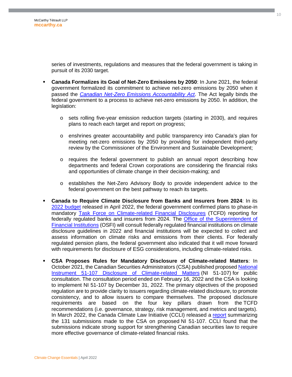series of investments, regulations and measures that the federal government is taking in pursuit of its 2030 target.

- **Canada Formalizes its Goal of Net-Zero Emissions by 2050**: In June 2021, the federal government formalized its commitment to achieve net-zero emissions by 2050 when it passed the *[Canadian Net-Zero Emissions Accountability Act](https://laws-lois.justice.gc.ca/eng/acts/c-19.3/FullText.html)*. The Act legally binds the federal government to a process to achieve net-zero emissions by 2050. In addition, the legislation:
	- $\circ$  sets rolling five-year emission reduction targets (starting in 2030), and requires plans to reach each target and report on progress;
	- o enshrines greater accountability and public transparency into Canada's plan for meeting net-zero emissions by 2050 by providing for independent third-party review by the Commissioner of the Environment and Sustainable Development;
	- o requires the federal government to publish an annual report describing how departments and federal Crown corporations are considering the financial risks and opportunities of climate change in their decision-making; and
	- o establishes the Net-Zero Advisory Body to provide independent advice to the federal government on the best pathway to reach its targets.
- **Canada to Require Climate Disclosure from Banks and Insurers from 2024**: In its [2022 budget](https://budget.gc.ca/2022/home-accueil-en.html) released in April 2022, the federal government confirmed plans to phase-in mandatory [Task Force on Climate-related Financial Disclosures](https://www.fsb-tcfd.org/) (TCFD) reporting for federally regulated banks and insurers from 2024. The [Office of the Superintendent of](https://www.osfi-bsif.gc.ca/Eng/Pages/default.aspx)  [Financial Institutions \(OSFI\) will consult federally regulated financial institutions on climate](https://www.osfi-bsif.gc.ca/Eng/Pages/default.aspx)  disclosure guidelines in 2022 and financial institutions will be expected to collect and assess information on climate risks and emissions from their clients. For federally regulated pension plans, the federal government also indicated that it will move forward with requirements for disclosure of ESG considerations, including climate-related risks.
- **CSA Proposes Rules for Mandatory Disclosure of Climate-related Matters**: In October 2021, the Canadian Securities Administrators (CSA) published proposed National [Instrument 51-107 Disclosure of Climate-related Matters \(NI 51-107\) for public](https://www.osc.ca/en/securities-law/instruments-rules-policies/5/51-107/51-107-consultation-climate-related-disclosure-update-and-csa-notice-and-request-comment-proposed)  consultation. The consultation period ended on February 16, 2022 and the CSA is looking to implement NI 51-107 by December 31, 2022. The primary objectives of the proposed regulation are to provide clarity to issuers regarding climate-related disclosure, to promote consistency, and to allow issuers to compare themselves. The proposed disclosure requirements are based on the four key pillars drawn from the TCFD recommendations (i.e. governance, strategy, risk management, and metrics and targets). In March 2022, the Canada Climate Law Initiative (CCLI) released a [report](https://ccli.ubc.ca/wp-content/uploads/2022/03/CCLI-Summary-of-submissions-to-CSA.pdf) summarizing the 131 submissions made to the CSA on proposed NI 51-107. CCLI found that the submissions indicate strong support for strengthening Canadian securities law to require more effective governance of climate-related financial risks.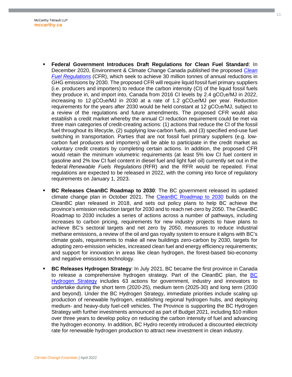- **Federal Government Introduces Draft Regulations for Clean Fuel Standard**: In December 2020, Environment & Climate Change Canada published the proposed *[Clean](https://gazette.gc.ca/rp-pr/p1/2020/2020-12-19/html/reg2-eng.html)  Fuel Regulations* [\(CFR\), which seek to achieve 30 million tonnes of annual reductions in](https://gazette.gc.ca/rp-pr/p1/2020/2020-12-19/html/reg2-eng.html)  GHG emissions by 2030. The proposed CFR will require liquid fossil fuel primary suppliers (i.e. producers and importers) to reduce the carbon intensity (CI) of the liquid fossil fuels they produce in, and import into, Canada from 2016 CI levels by  $2.4$  gCO<sub>2</sub>e/MJ in 2022, increasing to 12 gCO<sub>2</sub>e/MJ in 2030 at a rate of 1.2 gCO<sub>2</sub>e/MJ per year. Reduction requirements for the years after 2030 would be held constant at 12  $qCO<sub>2</sub>e/MJ$ , subject to a review of the regulations and future amendments. The proposed CFR would also establish a credit market whereby the annual CI reduction requirement could be met via three main categories of credit-creating actions: (1) actions that reduce the CI of the fossil fuel throughout its lifecycle, (2) supplying low-carbon fuels, and (3) specified end-use fuel switching in transportation. Parties that are not fossil fuel primary suppliers (e.g. lowcarbon fuel producers and importers) will be able to participate in the credit market as voluntary credit creators by completing certain actions. In addition, the proposed CFR would retain the minimum volumetric requirements (at least 5% low CI fuel content in gasoline and 2% low CI fuel content in diesel fuel and light fuel oil) currently set out in the federal *Renewable Fuels Regulations* (RFR) and the RFR would be repealed. Final regulations are expected to be released in 2022, with the coming into force of regulatory requirements on January 1, 2023.
- **BC Releases CleanBC Roadmap to 2030**: The BC government released its updated climate change plan in October 2021. The [CleanBC Roadmap to 2030](https://www2.gov.bc.ca/assets/gov/environment/climate-change/action/cleanbc/cleanbc_roadmap_2030.pdf) builds on the CleanBC plan released in 2018, and sets out policy plans to help BC achieve the province's emission reduction target for 2030 and to reach net-zero by 2050. The CleanBC Roadmap to 2030 includes a series of actions across a number of pathways, including increases to carbon pricing, requirements for new industry projects to have plans to achieve BC's sectoral targets and net zero by 2050, measures to reduce industrial methane emissions, a review of the oil and gas royalty system to ensure it aligns with BC's climate goals, requirements to make all new buildings zero-carbon by 2030, targets for adopting zero-emission vehicles, increased clean fuel and energy efficiency requirements; and support for innovation in areas like clean hydrogen, the forest-based bio-economy and negative emissions technology.
- **BC Releases Hydrogen Strategy**: In July 2021, BC became the first province in Canada to release a comprehensive hydrogen strategy. Part of the CleanBC plan, the [BC](https://www2.gov.bc.ca/assets/gov/farming-natural-resources-and-industry/electricity-alternative-energy/electricity/bc-hydro-review/bc_hydrogen_strategy_final.pdf)  [Hydrogen Strategy includes 63 actions for government, industry and innovators to](https://www2.gov.bc.ca/assets/gov/farming-natural-resources-and-industry/electricity-alternative-energy/electricity/bc-hydro-review/bc_hydrogen_strategy_final.pdf)  undertake during the short term (2020-25), medium term (2025-30) and long term (2030 and beyond). Under the BC Hydrogen Strategy, immediate priorities include scaling up production of renewable hydrogen, establishing regional hydrogen hubs, and deploying medium- and heavy-duty fuel-cell vehicles. The Province is supporting the BC Hydrogen Strategy with further investments announced as part of Budget 2021, including \$10 million over three years to develop policy on reducing the carbon intensity of fuel and advancing the hydrogen economy. In addition, BC Hydro recently introduced a discounted electricity rate for renewable hydrogen production to attract new investment in clean industry.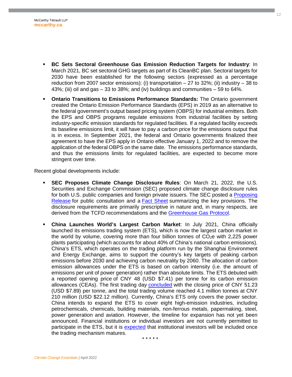- **BC Sets Sectoral Greenhouse Gas Emission Reduction Targets for Industry**: In March 2021, BC set sectoral GHG targets as part of its CleanBC plan. Sectoral targets for 2030 have been established for the following sectors (expressed as a percentage reduction from 2007 sector emissions): (i) transportation  $-27$  to 32%; (ii) industry  $-38$  to 43%; (iii) oil and gas  $-33$  to 38%; and (iv) buildings and communities  $-59$  to 64%.
- **Ontario Transitions to Emissions Performance Standards:** The Ontario government created the Ontario Emission Performance Standards (EPS) in 2019 as an alternative to the federal government's output based pricing system (OBPS) for industrial emitters. Both the EPS and OBPS programs regulate emissions from industrial facilities by setting industry-specific emission standards for regulated facilities. If a regulated facility exceeds its baseline emissions limit, it will have to pay a carbon price for the emissions output that is in excess. In September 2021, the federal and Ontario governments finalized their agreement to have the EPS apply in Ontario effective January 1, 2022 and to remove the application of the federal OBPS on the same date. The emissions performance standards, and thus the emissions limits for regulated facilities, are expected to become more stringent over time.

Recent global developments include:

- **SEC Proposes Climate Change Disclosure Rules**: On March 21, 2022, the U.S. Securities and Exchange Commission (SEC) proposed climate change disclosure rules for both U.S. public companies and foreign private issuers. The SEC posted a Proposing [Release for public consultation and a](https://www.sec.gov/rules/proposed/2022/33-11042.pdf) **[Fact Shee](https://www.sec.gov/files/33-11042-fact-sheet.pdf)t** summarizing the key provisions. The disclosure requirements are primarily prescriptive in nature and, in many respects, are derived from the TCFD recommendations and the [Greenhouse Gas Protocol](https://ghgprotocol.org/).
- **China Launches World's Largest Carbon Market**: In July 2021, China officially launched its emissions trading system (ETS), which is now the largest carbon market in the world by volume, covering more than four billion tonnes of  $CO<sub>2</sub>e$  with 2,225 power plants participating (which accounts for about 40% of China's national carbon emissions). China's ETS, which operates on the trading platform run by the Shanghai Environment and Energy Exchange, aims to support the country's key targets of peaking carbon emissions before 2030 and achieving carbon neutrality by 2060. The allocation of carbon emission allowances under the ETS is based on carbon intensity (i.e. the amount of emissions per unit of power generation) rather than absolute limits. The ETS debuted with a reported opening price of CNY 48 (USD \$7.41) per tonne for its carbon emission allowances (CEAs). The first trading day [concluded](https://www.reuters.com/business/sustainable-business/chinas-national-carbon-emission-trading-opens-48-yuant-chinese-media-2021-07-16/) with the closing price of CNY 51.23 (USD \$7.89) per tonne, and the total trading volume reached 4.1 million tonnes at CNY 210 million (USD \$22.12 million). Currently, China's ETS only covers the power sector. China intends to expand the ETS to cover eight high-emission industries, including petrochemicals, chemicals, building materials, non-ferrous metals, papermaking, steel, power generation and aviation. However, the timeline for expansion has not yet been announced. Financial institutions or individual investors are not currently permitted to participate in the ETS, but it is [expected](https://www.reuters.com/business/chinas-national-emissions-trading-scheme-ets-2021-07-14/) that institutional investors will be included once the trading mechanism matures.

\* \* \* \* \*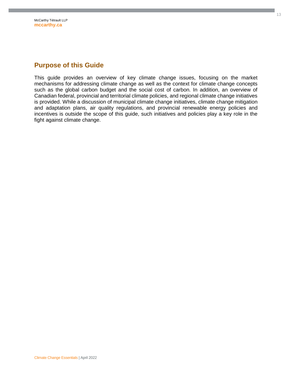### <span id="page-12-0"></span>**Purpose of this Guide**

This guide provides an overview of key climate change issues, focusing on the market mechanisms for addressing climate change as well as the context for climate change concepts such as the global carbon budget and the social cost of carbon. In addition, an overview of Canadian federal, provincial and territorial climate policies, and regional climate change initiatives is provided. While a discussion of municipal climate change initiatives, climate change mitigation and adaptation plans, air quality regulations, and provincial renewable energy policies and incentives is outside the scope of this guide, such initiatives and policies play a key role in the fight against climate change.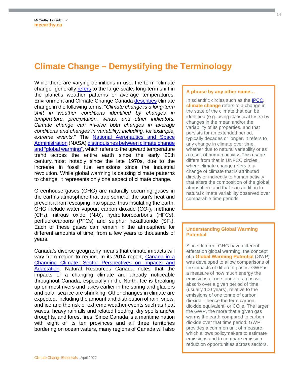# <span id="page-13-0"></span>**Climate Change – Demystifying the Terminology**

While there are varying definitions in use, the term "climate change" generally [refers](https://www.metoffice.gov.uk/climate-guide/climate-change) to the large-scale, long-term shift in the planet's weather patterns or average temperatures. Environment and Climate Change Canada [describes](https://www.canada.ca/en/environment-climate-change/services/climate-change/causes.html) climate change in the following terms: "*Climate change is a long-term shift in weather conditions identified by changes in temperature, precipitation, winds, and other indicators. Climate change can involve both changes in average conditions and changes in variability, including, for example, extreme events.*" The [National Aeronautics and Space](https://climate.nasa.gov/)  Administration (NASA) distinguishes between climate change [and "global warming", which refers to the upward temperature](https://climate.nasa.gov/faq/12/whats-the-difference-between-climate-change-and-global-warming/)  trend across the entire earth since the early 20th century, most notably since the late 1970s, due to the increase in fossil fuel emissions since the industrial revolution. While global warming is causing climate patterns to change, it represents only one aspect of climate change.

Greenhouse gases (GHG) are naturally occurring gases in the earth's atmosphere that trap some of the sun's heat and prevent it from escaping into space, thus insulating the earth. GHG include water vapour, carbon dioxide  $(CO<sub>2</sub>)$ , methane  $(CH<sub>4</sub>)$ , nitrous oxide  $(N<sub>2</sub>0)$ , hydrofluorocarbons (HFCs), perfluorocarbons (PFCs) and sulphur hexafluoride ( $SF<sub>6</sub>$ ). Each of these gases can remain in the atmosphere for different amounts of time, from a few years to thousands of years.

Canada's diverse geography means that climate impacts will vary from region to region. In its 2014 report, Canada in a [Changing Climate: Sector Perspectives on Impacts and](http://www.nrcan.gc.ca/sites/www.nrcan.gc.ca/files/earthsciences/pdf/assess/2014/pdf/Full-Report_Eng.pdf)  Adaptation, Natural Resources Canada notes that the impacts of a changing climate are already noticeable throughout Canada, especially in the North. Ice is breaking up on most rivers and lakes earlier in the spring and glaciers and polar sea ice are shrinking. Other changes in climate are expected, including the amount and distribution of rain, snow, and ice and the risk of extreme weather events such as heat waves, heavy rainfalls and related flooding, dry spells and/or droughts, and forest fires. Since Canada is a maritime nation with eight of its ten provinces and all three territories bordering on ocean waters, many regions of Canada will also

identified (e.g. using statistical tests) by changes in the mean and/or the variability of its properties, and that persists for an extended period, typically decades or longer. It refers to any change in climate over time, whether due to natural variability or as a result of human activity. This usage differs from that in UNFCC circles, where climate change refers to a change of climate that is attributed directly or indirectly to human activity that alters the composition of the global atmosphere and that is in addition to natural climate variability observed over comparable time periods.

**A phrase by any other name…**  In scientific circles such as the **IPCC**, **climate change** refers to a change in the state of the climate that can be

#### **Understanding Global Warming Potential**

Since different GHG have different effects on global warming, the concept of a **Global Warming Potential** (GWP) was developed to allow comparisons of the impacts of different gases. GWP is a measure of how much energy the emissions of one tonne of a gas will absorb over a given period of time (usually 100 years), relative to the emissions of one tonne of carbon dioxide – hence the term carbon dioxide equivalent, or CO<sub>2</sub>e. The larger the GWP, the more that a given gas warms the earth compared to carbon dioxide over that time period. GWP provides a common unit of measure, which allows policymakers to estimate emissions and to compare emission reduction opportunities across sectors.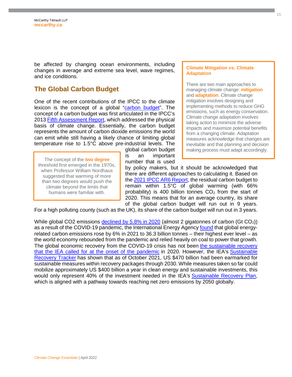be affected by changing ocean environments, including changes in average and extreme sea level, wave regimes, and ice conditions.

#### <span id="page-14-0"></span>**The Global Carbon Budget**

One of the recent contributions of the IPCC to the climate lexicon is the concept of a global ["carbon budget"](https://www.globalcarbonproject.org/carbonbudget/index.htm). The concept of a carbon budget was first articulated in the IPCC's 2013 [Fifth Assessment Report,](https://www.ipcc.ch/report/ar5/wg1/) which addressed the physical basis of climate change. Essentially, the carbon budget represents the amount of carbon dioxide emissions the world can emit while still having a likely chance of limiting global temperature rise to 1.5°C above pre-industrial levels. The

The concept of the **two degree** threshold first emerged in the 1970s, when Professor William Nordhaus suggested that warming of more than two degrees would push the climate beyond the limits that humans were familiar with.

global carbon budget is an important number that is used

**Climate Mitigation vs. Climate Adaptation** 

There are two main approaches to managing climate change: **mitigation** and **adaptation**. Climate change mitigation involves designing and implementing methods to reduce GHG emissions, such as energy conservation. Climate change adaptation involves taking action to minimize the adverse impacts and maximize potential benefits from a changing climate. Adaptation measures acknowledge that changes are inevitable and that planning and decision making process must adapt accordingly.

by policy makers, but it should be acknowledged that there are different approaches to calculating it. Based on the [2021 IPCC AR6 Report,](https://www.ipcc.ch/report/ar6/wg1/) the residual carbon budget to remain within 1.5°C of global warming (with 66% probability) is 400 billion tonnes  $CO<sub>2</sub>$  from the start of 2020. This means that for an average country, its share of the global carbon budget will run out in 9 years.

For a high polluting county (such as the UK), its share of the carbon budget will run out in 3 years.

While global CO2 emissions declined by  $5.8\%$  in 2020 (almost 2 gigatonnes of carbon (Gt CO<sub>2</sub>)) as a result of the COVID-19 pandemic, the International Energy Agency [found](https://www.iea.org/reports/global-energy-review-co2-emissions-in-2021-2) that global energyrelated carbon emissions rose by 6% in 2021 to 36.3 billion tonnes – their highest ever level – as the world economy rebounded from the pandemic and relied heavily on coal to power that growth. The global economic recovery from the COVID-19 crisis has not been [the sustainable recovery](https://www.iea.org/commentaries/put-clean-energy-at-the-heart-of-stimulus-plans-to-counter-the-coronavirus-crisis)  [that the IEA called for at the onset of the pandemic in 2020. However, the IEA's Sustainable](https://www.iea.org/commentaries/put-clean-energy-at-the-heart-of-stimulus-plans-to-counter-the-coronavirus-crisis)  [Recovery Tracker has shown that as of October 2021, US \\$470 billion had been earmarked for](https://www.iea.org/reports/sustainable-recovery-tracker/tracking-sustainable-recoveries)  sustainable measures within recovery packages through 2030. While measures taken so far could mobilize approximately US \$400 billion a year in clean energy and sustainable investments, this would only represent 40% of the investment needed in the IEA's [Sustainable Recovery Plan,](https://www.iea.org/reports/sustainable-recovery) which is aligned with a pathway towards reaching net zero emissions by 2050 globally.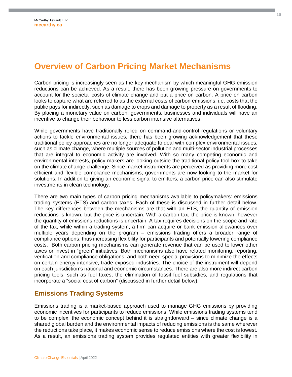# <span id="page-15-0"></span>**Overview of Carbon Pricing Market Mechanisms**

Carbon pricing is increasingly seen as the key mechanism by which meaningful GHG emission reductions can be achieved. As a result, there has been growing pressure on governments to account for the societal costs of climate change and put a price on carbon. A price on carbon looks to capture what are referred to as the external costs of carbon emissions, i.e. costs that the public pays for indirectly, such as damage to crops and damage to property as a result of flooding. By placing a monetary value on carbon, governments, businesses and individuals will have an incentive to change their behaviour to less carbon intensive alternatives.

While governments have traditionally relied on command-and-control regulations or voluntary actions to tackle environmental issues, there has been growing acknowledgement that these traditional policy approaches are no longer adequate to deal with complex environmental issues, such as climate change, where multiple sources of pollution and multi-sector industrial processes that are integral to economic activity are involved. With so many competing economic and environmental interests, policy makers are looking outside the traditional policy tool box to take on the climate change challenge. Since market instruments are perceived as providing more cost efficient and flexible compliance mechanisms, governments are now looking to the market for solutions. In addition to giving an economic signal to emitters, a carbon price can also stimulate investments in clean technology.

There are two main types of carbon pricing mechanisms available to policymakers: emissions trading systems (ETS) and carbon taxes. Each of these is discussed in further detail below. The key differences between the mechanisms are that with an ETS, the quantity of emission reductions is known, but the price is uncertain. With a carbon tax, the price is known, however the quantity of emissions reductions is uncertain. A tax requires decisions on the scope and rate of the tax, while within a trading system, a firm can acquire or bank emission allowances over multiple years depending on the program – emissions trading offers a broader range of compliance options, thus increasing flexibility for participants and potentially lowering compliance costs. Both carbon pricing mechanisms can generate revenue that can be used to lower other taxes or invest in "green" initiatives. Both mechanisms also have related monitoring, reporting, verification and compliance obligations, and both need special provisions to minimize the effects on certain energy intensive, trade exposed industries. The choice of the instrument will depend on each jurisdiction's national and economic circumstances. There are also more indirect carbon pricing tools, such as fuel taxes, the elimination of fossil fuel subsidies, and regulations that incorporate a "social cost of carbon" (discussed in further detail below).

#### <span id="page-15-1"></span>**Emissions Trading Systems**

Emissions trading is a market-based approach used to manage GHG emissions by providing economic incentives for participants to reduce emissions. While emissions trading systems tend to be complex, the economic concept behind it is straightforward – since climate change is a shared global burden and the environmental impacts of reducing emissions is the same wherever the reductions take place, it makes economic sense to reduce emissions where the cost is lowest. As a result, an emissions trading system provides regulated entities with greater flexibility in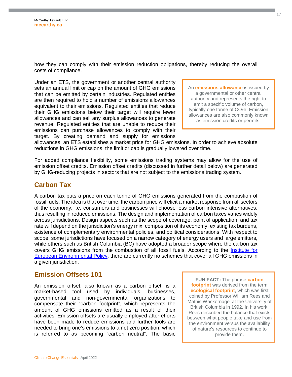how they can comply with their emission reduction obligations, thereby reducing the overall costs of compliance.

Under an ETS, the government or another central authority sets an annual limit or cap on the amount of GHG emissions that can be emitted by certain industries. Regulated entities are then required to hold a number of emissions allowances equivalent to their emissions. Regulated entities that reduce their GHG emissions below their target will require fewer allowances and can sell any surplus allowances to generate revenue. Regulated entities that are unable to reduce their emissions can purchase allowances to comply with their target. By creating demand and supply for emissions

An **emissions allowance** is issued by a governmental or other central authority and represents the right to emit a specific volume of carbon, typically one tonne of CO<sub>2</sub>e. Emission allowances are also commonly known as emission credits or permits.

allowances, an ETS establishes a market price for GHG emissions. In order to achieve absolute reductions in GHG emissions, the limit or cap is gradually lowered over time.

For added compliance flexibility, some emissions trading systems may allow for the use of emission offset credits. Emission offset credits (discussed in further detail below) are generated by GHG-reducing projects in sectors that are not subject to the emissions trading system.

#### <span id="page-16-0"></span>**Carbon Tax**

A carbon tax puts a price on each tonne of GHG emissions generated from the combustion of fossil fuels. The idea is that over time, the carbon price will elicit a market response from all sectors of the economy, i.e. consumers and businesses will choose less carbon intensive alternatives, thus resulting in reduced emissions. The design and implementation of carbon taxes varies widely across jurisdictions. Design aspects such as the scope of coverage, point of application, and tax rate will depend on the jurisdiction's energy mix, composition of its economy, existing tax burdens, existence of complementary environmental policies, and political considerations. With respect to scope, some jurisdictions have focused on a narrow category of energy users and large emitters, while others such as British Columbia (BC) have adopted a broader scope where the carbon tax covers GHG emissions from the combustion of all fossil fuels. According to the [Institute for](https://ieep.eu/work-areas/green-economy/market-based-instruments)  [European Environmental Policy, there are currently no schemes that cover all GHG emissions in](https://ieep.eu/work-areas/green-economy/market-based-instruments)  a given jurisdiction.

#### <span id="page-16-1"></span>**Emission Offsets 101**

An emission offset, also known as a carbon offset, is a market-based tool used by individuals, businesses, governmental and non-governmental organizations to compensate their "carbon footprint", which represents the amount of GHG emissions emitted as a result of their activities. Emission offsets are usually employed after efforts have been made to reduce emissions and further tools are needed to bring one's emissions to a net zero position, which is referred to as becoming "carbon neutral". The basic

**FUN FACT:** The phrase **carbon footprint** was derived from the term **ecological footprint**, which was first coined by Professor William Rees and Mathis Wackernagel at the University of British Columbia in 1992. In his work, Rees described the balance that exists between what people take and use from the environment versus the availability of nature's resources to continue to provide them.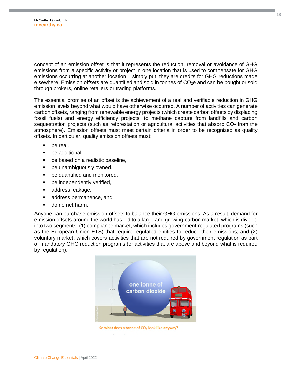concept of an emission offset is that it represents the reduction, removal or avoidance of GHG emissions from a specific activity or project in one location that is used to compensate for GHG emissions occurring at another location – simply put, they are credits for GHG reductions made elsewhere. Emission offsets are quantified and sold in tonnes of  $CO<sub>2</sub>e$  and can be bought or sold through brokers, online retailers or trading platforms.

The essential promise of an offset is the achievement of a real and verifiable reduction in GHG emission levels beyond what would have otherwise occurred. A number of activities can generate carbon offsets, ranging from renewable energy projects (which create carbon offsets by displacing fossil fuels) and energy efficiency projects, to methane capture from landfills and carbon sequestration projects (such as reforestation or agricultural activities that absorb  $CO<sub>2</sub>$  from the atmosphere). Emission offsets must meet certain criteria in order to be recognized as quality offsets. In particular, quality emission offsets must:

- be real.
- be additional,
- be based on a realistic baseline,
- be unambiguously owned,
- be quantified and monitored,
- be independently verified,
- address leakage,
- address permanence, and
- **do no net harm.**

Anyone can purchase emission offsets to balance their GHG emissions. As a result, demand for emission offsets around the world has led to a large and growing carbon market, which is divided into two segments: (1) compliance market, which includes government-regulated programs (such as the European Union ETS) that require regulated entities to reduce their emissions; and (2) voluntary market, which covers activities that are not required by government regulation as part of mandatory GHG reduction programs (or activities that are above and beyond what is required by regulation).



So what does a tonne of CO<sub>2</sub> look like anyway?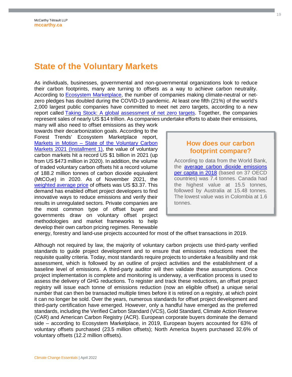## <span id="page-18-0"></span>**State of the Voluntary Markets**

As individuals, businesses, governmental and non-governmental organizations look to reduce their carbon footprints, many are turning to offsets as a way to achieve carbon neutrality. According to [Ecosystem Marketplace,](https://www.ecosystemmarketplace.com/carbon-markets/) the number of companies making climate-neutral or netzero pledges has doubled during the COVID-19 pandemic. At least one fifth (21%) of the world's 2,000 largest public companies have committed to meet net zero targets, according to a new report called [Taking Stock: A global assessment of net zero targets.](https://eciu.net/analysis/reports/2021/taking-stock-assessment-net-zero-targets) Together, the companies represent sales of nearly US \$14 trillion. As companies undertake efforts to abate their emissions,

many will also need to offset emissions as they work towards their decarbonization goals. According to the Forest Trends' Ecosystem Marketplace report, Markets in Motion - State of the Voluntary Carbon [Markets 2021 \(Installment 1\), the value of voluntary](https://www.ecosystemmarketplace.com/articles/voluntary-carbon-markets-top-1-billion-in-2021-with-newly-reported-trades-special-ecosystem-marketplace-cop26-bulletin/)  carbon markets hit a record US \$1 billion in 2021 (up from US \$473 million in 2020). In addition, the volume of traded voluntary carbon offsets hit a record volume of 188.2 million tonnes of carbon dioxide equivalent  $(MtCO<sub>2</sub>e)$  in 2020. As of November 2021, the [weighted average price](https://data.ecosystemmarketplace.com/) of offsets was US \$3.37. This demand has enabled offset project developers to find innovative ways to reduce emissions and verify their results in unregulated sectors. Private companies are the most common type of offset buyer and governments draw on voluntary offset project methodologies and market frameworks to help develop their own carbon pricing regimes. Renewable

#### **How does our carbon footprint compare?**

According to data from the World Bank, the [average carbon dioxide emissions](https://www.theglobaleconomy.com/rankings/Carbon_dioxide_emissions_per_capita/OECD/)  [per capita in 2018 \(based on 37 OECD](https://www.theglobaleconomy.com/rankings/Carbon_dioxide_emissions_per_capita/OECD/)  countries) was 7.4 tonnes. Canada had the highest value at 15.5 tonnes, followed by Australia at 15.48 tonnes. The lowest value was in Colombia at 1.6 tonnes.

energy, forestry and land-use projects accounted for most of the offset transactions in 2019.

Although not required by law, the majority of voluntary carbon projects use third-party verified standards to guide project development and to ensure that emissions reductions meet the requisite quality criteria. Today, most standards require projects to undertake a feasibility and risk assessment, which is followed by an outline of project activities and the establishment of a baseline level of emissions. A third-party auditor will then validate these assumptions. Once project implementation is complete and monitoring is underway, a verification process is used to assess the delivery of GHG reductions. To register and track these reductions, an offset project registry will issue each tonne of emissions reduction (now an eligible offset) a unique serial number that can then be transacted multiple times before it is retired on a registry, at which point it can no longer be sold. Over the years, numerous standards for offset project development and third-party certification have emerged. However, only a handful have emerged as the preferred standards, including the Verified Carbon Standard (VCS), Gold Standard, Climate Action Reserve (CAR) and American Carbon Registry (ACR). European corporate buyers dominate the demand side – according to Ecosystem Marketplace, in 2019, European buyers accounted for 63% of voluntary offsets purchased (23.5 million offsets); North America buyers purchased 32.6% of voluntary offsets (12.2 million offsets).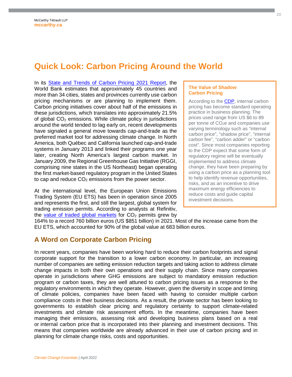# <span id="page-19-0"></span>**Quick Look: Carbon Pricing Around the World**

In its [State and Trends of Carbon Pricing 2021 Report](https://openknowledge.worldbank.org/handle/10986/35620), the World Bank estimates that approximately 45 countries and more than 34 cities, states and provinces currently use carbon pricing mechanisms or are planning to implement them. Carbon pricing initiatives cover about half of the emissions in these jurisdictions, which translates into approximately 21.5% of global  $CO<sub>2</sub>$  emissions. While climate policy in jurisdictions around the world tended to lag early on, recent developments have signaled a general move towards cap-and-trade as the preferred market tool for addressing climate change. In North America, both Québec and California launched cap-and-trade systems in January 2013 and linked their programs one year later, creating North America's largest carbon market. In January 2009, the Regional Greenhouse Gas Initiative (RGGI, comprising nine states in the US Northeast) began operating the first market-based regulatory program in the United States to cap and reduce  $CO<sub>2</sub>$  emissions from the power sector.

At the international level, the European Union Emissions Trading System (EU ETS) has been in operation since 2005 and represents the first, and still the largest, global system for trading emission permits. According to analysts at Refinitiv, the [value of traded global markets](https://money.usnews.com/investing/news/articles/2022-01-31/global-carbon-markets-value-surged-to-record-851-billion-last-year-refinitiv) for  $CO<sub>2</sub>$  permits grew by

#### **The Value of Shadow Carbon Pricing**

According to the **CDP**, internal carbon pricing has become standard operating practice in business planning. The prices used range from US \$6 to 89 per tonne of CO2e and companies use varying terminology such as "internal carbon price", "shadow price", "internal carbon fee", "carbon adder" or "carbon cost". Since most companies reporting to the CDP expect that some form of regulatory regime will be eventually implemented to address climate change, they have been preparing by using a carbon price as a planning tool to help identify revenue opportunities, risks, and as an incentive to drive maximum energy efficiencies to reduce costs and guide capital investment decisions.

164% to a record 760 billion euros (US \$851 billion) in 2021. Most of the increase came from the EU ETS, which accounted for 90% of the global value at 683 billion euros.

#### <span id="page-19-1"></span>**A Word on Corporate Carbon Pricing**

In recent years, companies have been working hard to reduce their carbon footprints and signal corporate support for the transition to a lower carbon economy. In particular, an increasing number of companies are setting emission reduction targets and taking action to address climate change impacts in both their own operations and their supply chain. Since many companies operate in jurisdictions where GHG emissions are subject to mandatory emission reduction program or carbon taxes, they are well attuned to carbon pricing issues as a response to the regulatory environments in which they operate. However, given the diversity in scope and timing of climate policies, companies have been faced with having to consider multiple carbon compliance costs in their business decisions. As a result, the private sector has been looking to governments to establish clear pricing and regulatory certainty to support climate-related investments and climate risk assessment efforts. In the meantime, companies have been managing their emissions, assessing risk and developing business plans based on a real or internal carbon price that is incorporated into their planning and investment decisions. This means that companies worldwide are already advanced in their use of carbon pricing and in planning for climate change risks, costs and opportunities.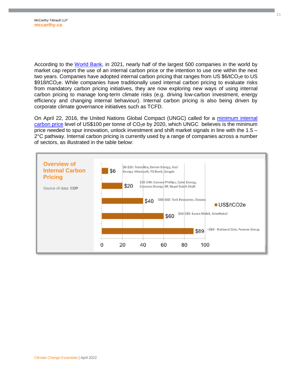According to the [World Bank](https://openknowledge.worldbank.org/handle/10986/35620), in 2021, nearly half of the largest 500 companies in the world by market cap report the use of an internal carbon price or the intention to use one within the next two years. Companies have adopted internal carbon pricing that ranges from US  $$6/1CO<sub>2</sub>e$  to US  $$918/tCO<sub>2</sub>e.$  While companies have traditionally used internal carbon pricing to evaluate risks from mandatory carbon pricing initiatives, they are now exploring new ways of using internal carbon pricing to manage long-term climate risks (e.g. driving low-carbon investment, energy efficiency and changing internal behaviour). Internal carbon pricing is also being driven by corporate climate governance initiatives such as TCFD.

On April 22, 2016, the United Nations Global Compact (UNGC) called for a [minimum internal](https://www.unglobalcompact.org/news/3381-04-22-2016)  carbon price level of US\$100 per tonne of  $CO<sub>2</sub>e$  by 2020, which UNGC believes is the minimum price needed to spur innovation, unlock investment and shift market signals in line with the 1.5 – 2°C pathway. Internal carbon pricing is currently used by a range of companies across a number of sectors, as illustrated in the table below:

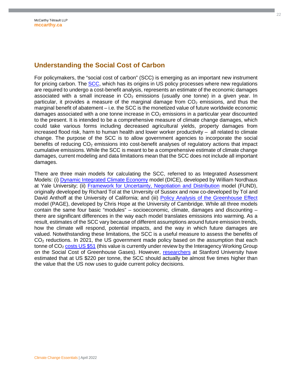#### <span id="page-21-0"></span>**Understanding the Social Cost of Carbon**

For policymakers, the "social cost of carbon" (SCC) is emerging as an important new instrument for pricing carbon. The **SCC**, which has its origins in US policy processes where new regulations are required to undergo a cost-benefit analysis, represents an estimate of the economic damages associated with a small increase in  $CO<sub>2</sub>$  emissions (usually one tonne) in a given year. In particular, it provides a measure of the marginal damage from  $CO<sub>2</sub>$  emissions, and thus the marginal benefit of abatement – i.e. the SCC is the monetized value of future worldwide economic damages associated with a one tonne increase in  $CO<sub>2</sub>$  emissions in a particular year discounted to the present. It is intended to be a comprehensive measure of climate change damages, which could take various forms including decreased agricultural yields, property damages from increased flood risk, harm to human health and lower worker productivity – all related to climate change. The purpose of the SCC is to allow government agencies to incorporate the social benefits of reducing  $CO<sub>2</sub>$  emissions into cost-benefit analyses of regulatory actions that impact cumulative emissions. While the SCC is meant to be a comprehensive estimate of climate change damages, current modeling and data limitations mean that the SCC does not include all important damages.

There are three main models for calculating the SCC, referred to as Integrated Assessment Models: (i) [Dynamic Integrated Climate Economy](https://cowles.yale.edu/sites/default/files/files/pub/d10/d1009.pdf) model (DICE), developed by William Nordhaus at Yale University; (ii) [Framework for Uncertainty, Negotiation and Distribution](http://www.fund-model.org/home) model (FUND), originally developed by Richard Tol at the Unversity of Sussex and now co-developed by Tol and David Anthoff at the University of California; and (iii) [Policy Analysis of the Greenhouse Effect](https://www.jbs.cam.ac.uk/fileadmin/user_upload/research/workingpapers/wp1104.pdf)  model (PAGE), developed by Chris Hope at the University of Cambridge. While all three models contain the same four basic "modules" – socioeconomic, climate, damages and discounting – there are significant differences in the way each model translates emissions into warming. As a result, estimates of the SCC vary because of different assumptions around future emission trends, how the climate will respond, potential impacts, and the way in which future damages are valued. Notwithstanding these limitations, the SCC is a useful measure to assess the benefits of CO<sub>2</sub> reductions. In 2021, the US government made policy based on the assumption that each tonne of  $CO<sub>2</sub> \text{costs } US $51$  (this value is currently under review by the Interagency Working Group on the Social Cost of Greenhouse Gases). However, [researchers](http://news.stanford.edu/news/2015/january/emissions-social-costs-011215.html) at Stanford University have estimated that at US \$220 per tonne, the SCC should actually be almost five times higher than the value that the US now uses to guide current policy decisions.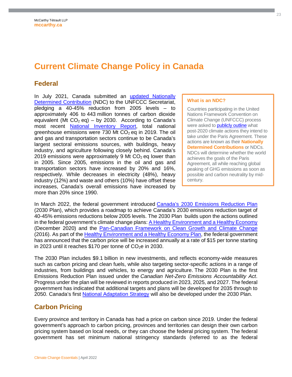# <span id="page-22-0"></span>**Current Climate Change Policy in Canada**

#### <span id="page-22-1"></span>**Federal**

In July 2021, Canada submitted an [updated Nationally](https://www4.unfccc.int/sites/ndcstaging/PublishedDocuments/Canada%20First/Canada%27s%20Enhanced%20NDC%20Submission1_FINAL%20EN.pdf)  [Determined Contribution \(NDC\) to the UNFCCC Secretariat,](https://www4.unfccc.int/sites/ndcstaging/PublishedDocuments/Canada%20First/Canada%27s%20Enhanced%20NDC%20Submission1_FINAL%20EN.pdf)  pledging a 40-45% reduction from 2005 levels – to approximately 406 to 443 million tonnes of carbon dioxide equivalent (Mt  $CO<sub>2</sub>$  eq) – by 2030. According to Canada's most recent [National Inventory Report,](https://unfccc.int/documents/271493) total national greenhouse emissions were 730 Mt  $CO<sub>2</sub>$  eq in 2019. The oil and gas and transportation sectors continue to be Canada's largest sectoral emissions sources, with buildings, heavy industry, and agriculture following closely behind. Canada's 2019 emissions were approximately 9 Mt  $CO<sub>2</sub>$  eq lower than in 2005. Since 2005, emissions in the oil and gas and transportation sectors have increased by 20% and 16%, respectively. While decreases in electricity (48%), heavy industry (12%) and waste and others (10%) have offset these increases, Canada's overall emissions have increased by more than 20% since 1990.

#### **What is an NDC?**

Countries participating in the United Nations Framework Convention on Climate Change (UNFCCC) process were asked to **publicly outline** what post-2020 climate actions they intend to take under the Paris Agreement. These actions are known as their **Nationally Determined Contributions** or NDCs. NDCs will determine whether the world achieves the goals of the Paris Agreement, all while reaching global peaking of GHG emissions as soon as possible and carbon neutrality by midcentury.

In March 2022, the federal government introduced [Canada's 2030 Emissions Reduction Plan](https://www.canada.ca/en/services/environment/weather/climatechange/climate-plan/climate-plan-overview/emissions-reduction-2030.html) (2030 Plan), which provides a roadmap to achieve Canada's 2030 emissions reduction target of 40-45% emissions reductions below 2005 levels. The 2030 Plan builds upon the actions outlined in the federal government's climate change plans: [A Healthy Environment and a Healthy Economy](https://www.canada.ca/en/services/environment/weather/climatechange/climate-plan/climate-plan-overview/healthy-environment-healthy-economy.html) (December 2020) and the [Pan-Canadian Framework on Clean Growth and Climate Change](https://publications.gc.ca/collections/collection_2017/eccc/En4-294-2016-eng.pdf) (2016). As part of the [Healthy Environment and a Healthy Economy Plan,](https://www.canada.ca/content/dam/eccc/documents/pdf/climate-change/climate-plan/healthy_environment_healthy_economy_plan.pdf) the federal government has announced that the carbon price will be increased annually at a rate of \$15 per tonne starting in 2023 until it reaches \$170 per tonne of  $CO<sub>2</sub>e$  in 2030.

The 2030 Plan includes \$9.1 billion in new investments, and reflects economy-wide measures such as carbon pricing and clean fuels, while also targeting sector-specific actions in a range of industries, from buildings and vehicles, to energy and agriculture. The 2030 Plan is the first Emissions Reduction Plan issued under the *Canadian Net-Zero Emissions Accountability Act*. Progress under the plan will be reviewed in reports produced in 2023, 2025, and 2027. The federal government has indicated that additional targets and plans will be developed for 2035 through to 2050. Canada's first [National Adaptation Strategy](https://www.canada.ca/en/services/environment/weather/climatechange/climate-plan/national-adaptation-strategy.html) will also be developed under the 2030 Plan.

#### <span id="page-22-2"></span>**Carbon Pricing**

Every province and territory in Canada has had a price on carbon since 2019. Under the federal government's approach to carbon pricing, provinces and territories can design their own carbon pricing system based on local needs, or they can choose the federal pricing system. The federal government has set minimum national stringency standards (referred to as the federal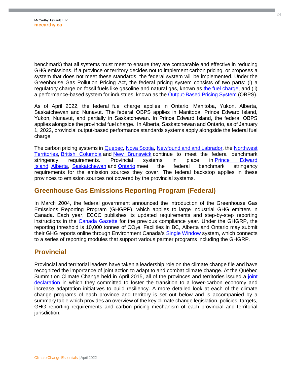benchmark) that all systems must meet to ensure they are comparable and effective in reducing GHG emissions. If a province or territory decides not to implement carbon pricing, or proposes a system that does not meet these standards, the federal system will be implemented. Under the Greenhouse Gas Pollution Pricing Act, the federal pricing system consists of two parts: (i) a regulatory charge on fossil fuels like gasoline and natural gas, known as [the fuel charge](https://www.canada.ca/en/revenue-agency/services/tax/excise-taxes-duties-levies/fuel-charge.html), and (ii) a performance-based system for industries, known as the [Output-Based Pricing System](https://www.canada.ca/en/environment-climate-change/services/climate-change/pricing-pollution-how-it-will-work/output-based-pricing-system.html) (OBPS).

As of April 2022, the federal fuel charge applies in Ontario, Manitoba, Yukon, Alberta, Saskatchewan and Nunavut. The federal OBPS applies in Manitoba, Prince Edward Island, Yukon, Nunavut, and partially in Saskatchewan. In Prince Edward Island, the federal OBPS applies alongside the provincial fuel charge. In Alberta, Saskatchewan and Ontario, as of January 1, 2022, provincial output-based performance standards systems apply alongside the federal fuel charge.

The carbon pricing systems in **Quebec, [Nova Scotia,](https://climatechange.novascotia.ca/nova-scotias-cap-trade-program) Newfoundland and Labrador**, the Northwest [Territories,](https://www.fin.gov.nt.ca/en/services/carbon-tax) [British Columbia](https://www2.gov.bc.ca/gov/content/environment/climate-change/clean-economy/carbon-tax) [and](https://www.fin.gov.nt.ca/en/services/carbon-tax) [New Brunswick](https://www2.gnb.ca/content/gnb/en/departments/elg/environment/content/climate_change/content/large_emitters.html) [continue to meet the federal benchmark](https://www.fin.gov.nt.ca/en/services/carbon-tax)  stringency requirements. Provincial systems in place in [Prince Edward](https://www.princeedwardisland.ca/en/information/finance/carbon-levy)  [Island,](https://www.princeedwardisland.ca/en/information/finance/carbon-levy) [Alberta](https://www.alberta.ca/technology-innovation-and-emissions-reduction-regulation.aspx)[,](https://www.princeedwardisland.ca/en/information/finance/carbon-levy) [Saskatchewan](https://www.saskatchewan.ca/climate-change#utm_campaign=q2_2015&utm_medium=short&utm_source=%2Fclimate-change) [and](https://www.princeedwardisland.ca/en/information/finance/carbon-levy) [Ontario](https://www.ontario.ca/page/emissions-performance-standards-program) [meet the federal benchmark stringency](https://www.princeedwardisland.ca/en/information/finance/carbon-levy)  requirements for the emission sources they cover. The federal backstop applies in these provinces to emission sources not covered by the provincial systems.

#### <span id="page-23-0"></span>**Greenhouse Gas Emissions Reporting Program (Federal)**

In March 2004, the federal government announced the introduction of the Greenhouse Gas Emissions Reporting Program (GHGRP), which applies to large industrial GHG emitters in Canada. Each year, ECCC publishes its updated requirements and step-by-step reporting instructions in the [Canada Gazette](https://www.gazette.gc.ca/accueil-home-eng.html) for the previous compliance year. Under the GHGRP, the reporting threshold is 10,000 tonnes of  $CO<sub>2</sub>e$ . Facilities in BC, Alberta and Ontario may submit their GHG reports online through Environment Canada's [Single Window](https://www.ec.gc.ca/gu-sw/default.asp?lang=En&n=B8773936-1) system, which connects to a series of reporting modules that support various partner programs including the GHGRP.

#### <span id="page-23-1"></span>**Provincial**

Provincial and territorial leaders have taken a leadership role on the climate change file and have recognized the importance of joint action to adapt to and combat climate change. At the Québec Summit on Climate Change held in April 2015, all of the provinces and territories issued a [joint](http://www.mddelcc.gouv.qc.ca/sommetClimat2015/pdf/Declaration-SommetCC-ANG.pdf)  declaration in which they committed to foster the transition to a lower-carbon economy and increase adaptation initiatives to build resiliency. A more detailed look at each of the climate change programs of each province and territory is set out below and is accompanied by a summary table which provides an overview of the key climate change legislation, policies, targets, GHG reporting requirements and carbon pricing mechanism of each provincial and territorial jurisdiction.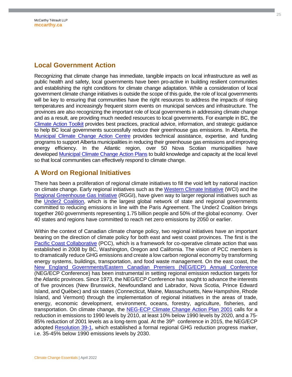#### <span id="page-24-0"></span>**Local Government Action**

Recognizing that climate change has immediate, tangible impacts on local infrastructure as well as public health and safety, local governments have been pro-active in building resilient communities and establishing the right conditions for climate change adaptation. While a consideration of local government climate change initiatives is outside the scope of this guide, the role of local governments will be key to ensuring that communities have the right resources to address the impacts of rising temperatures and increasingly frequent storm events on municipal services and infrastructure. The provinces are also recognizing the important role of local governments in addressing climate change and as a result, are providing much needed resources to local governments. For example in BC, the [Climate Action Toolkit](http://www.toolkit.bc.ca/) provides best practices, practical advice, information, and strategic guidance to help BC local governments successfully reduce their greenhouse gas emissions. In Alberta, the [Municipal Climate Change Action Centre](http://mccac.ca/) provides technical assistance, expertise, and funding programs to support Alberta municipalities in reducing their greenhouse gas emissions and improving energy efficiency. In the Atlantic region, over 50 Nova Scotian municipalities have developed [Municipal Climate Change Action Plans](http://www.novascotia.ca/dma/planning/climate-change.asp) to build knowledge and capacity at the local level so that local communities can effectively respond to climate change.

#### <span id="page-24-1"></span>**A Word on Regional Initiatives**

There has been a proliferation of regional climate initiatives to fill the void left by national inaction on climate change. Early regional initiatives such as the [Western Climate Initiative](http://www.wci-inc.org/) (WCI) and the [Regional Greenhouse Gas Initiative](http://www.rggi.org/) (RGGI), have given way to larger regional initiatives such as the [Under2 Coalition](https://www.theclimategroup.org/under2-coalition), which is the largest global network of state and regional governments committed to reducing emissions in line with the Paris Agreement. The Under2 Coalition brings together 260 governments representing 1.75 billion people and 50% of the global economy. Over 40 states and regions have committed to reach net zero emissions by 2050 or earlier.

Within the context of Canadian climate change policy, two regional initiatives have an important bearing on the direction of climate policy for both east and west coast provinces. The first is the [Pacific Coast Collaborative](https://pacificcoastcollaborative.org/) (PCC), which is a framework for co-operative climate action that was established in 2008 by BC, Washington, Oregon and California. The vision of PCC members is to dramatically reduce GHG emissions and create a low carbon regional economy by transforming energy systems, buildings, transportation, and food waste management. On the east coast, the [New England Governments/Eastern Canadian Premiers \(NEG/ECP\) Annual Conference](https://cap-cpma.ca/negecp/) (NEG/ECP Conference) has been instrumental in setting regional emission reduction targets for the Atlantic provinces. Since 1973, the NEG/ECP Conference has sought to advance the interests of five provinces (New Brunswick, Newfoundland and Labrador, Nova Scotia, Prince Edward Island, and Québec) and six states (Connecticut, Maine, Massachusetts, New Hampshire, Rhode Island, and Vermont) through the implementation of regional initiatives in the areas of trade, energy, economic development, environment, oceans, forestry, agriculture, fisheries, and transportation. On climate change, the [NEG-ECP Climate Change Action Plan 2001](https://www.novascotia.ca/nse/climate.change/docs/NEG-ECP.pdf) calls for a reduction in emissions to 1990 levels by 2010, at least 10% below 1990 levels by 2020, and a 75- 85% reduction of 2001 levels as a long-term goal. At the 39<sup>th</sup> conference in 2015, the NEG/ECP adopted [Resolution 39-1,](https://www.coneg.org/wp-content/uploads/2019/01/39-1-climate-change.pdf) which established a formal regional GHG reduction progress marker, i.e. 35-45% below 1990 emissions levels by 2030.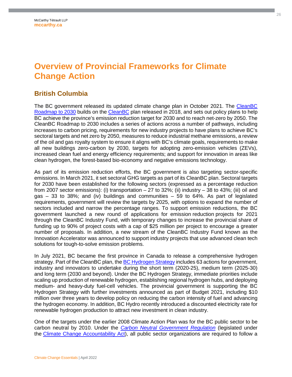# <span id="page-25-0"></span>**Overview of Provincial Frameworks for Climate Change Action**

#### <span id="page-25-1"></span>**British Columbia**

The BC government released its updated climate change plan in October 2021. The [CleanBC](https://www2.gov.bc.ca/assets/gov/environment/climate-change/action/cleanbc/cleanbc_roadmap_2030.pdf)  [Roadmap to 2030 builds on the](https://www2.gov.bc.ca/assets/gov/environment/climate-change/action/cleanbc/cleanbc_roadmap_2030.pdf) [CleanBC](https://www2.gov.bc.ca/assets/gov/environment/climate-change/action/cleanbc/cleanbc_2018-bc-climate-strategy.pdf) [plan released in 2018, and sets out policy plans to help](https://www2.gov.bc.ca/assets/gov/environment/climate-change/action/cleanbc/cleanbc_roadmap_2030.pdf)  BC achieve the province's emission reduction target for 2030 and to reach net-zero by 2050. The CleanBC Roadmap to 2030 includes a series of actions across a number of pathways, including increases to carbon pricing, requirements for new industry projects to have plans to achieve BC's sectoral targets and net zero by 2050, measures to reduce industrial methane emissions, a review of the oil and gas royalty system to ensure it aligns with BC's climate goals, requirements to make all new buildings zero-carbon by 2030, targets for adopting zero-emission vehicles (ZEVs), increased clean fuel and energy efficiency requirements; and support for innovation in areas like clean hydrogen, the forest-based bio-economy and negative emissions technology.

As part of its emission reduction efforts, the BC government is also targeting sector-specific emissions. In March 2021, it set sectoral GHG targets as part of its CleanBC plan. Sectoral targets for 2030 have been established for the following sectors (expressed as a percentage reduction from 2007 sector emissions): (i) transportation  $-27$  to 32%; (ii) industry  $-38$  to 43%; (iii) oil and gas – 33 to 38%; and (iv) buildings and communities – 59 to 64%. As part of legislated requirements, government will review the targets by 2025, with options to expand the number of sectors included and narrow the percentage ranges. To support emission reductions, the BC government launched a new round of applications for emission reduction projects for 2021 through the CleanBC Industry Fund, with temporary changes to increase the provincial share of funding up to 90% of project costs with a cap of \$25 million per project to encourage a greater number of proposals. In addition, a new stream of the CleanBC Industry Fund known as the Innovation Accelerator was announced to support industry projects that use advanced clean tech solutions for tough-to-solve emission problems.

In July 2021, BC became the first province in Canada to release a comprehensive hydrogen strategy. Part of the CleanBC plan, the [BC Hydrogen Strategy](https://www2.gov.bc.ca/assets/gov/farming-natural-resources-and-industry/electricity-alternative-energy/electricity/bc-hydro-review/bc_hydrogen_strategy_final.pdf) includes 63 actions for government, industry and innovators to undertake during the short term (2020-25), medium term (2025-30) and long term (2030 and beyond). Under the BC Hydrogen Strategy, immediate priorities include scaling up production of renewable hydrogen, establishing regional hydrogen hubs, and deploying medium- and heavy-duty fuel-cell vehicles. The provincial government is supporting the BC Hydrogen Strategy with further investments announced as part of Budget 2021, including \$10 million over three years to develop policy on reducing the carbon intensity of fuel and advancing the hydrogen economy. In addition, BC Hydro recently introduced a discounted electricity rate for renewable hydrogen production to attract new investment in clean industry.

One of the targets under the earlier 2008 Climate Action Plan was for the BC public sector to be carbon neutral by 2010. Under the *[Carbon Neutral Government Regulation](http://www.bclaws.ca/Recon/document/ID/freeside/392_2008)* (legislated under the [Climate Change Accountability Act](https://www2.gov.bc.ca/gov/content/environment/climate-change/planning-and-action/legislation#ccaa)), all public sector organizations are required to follow a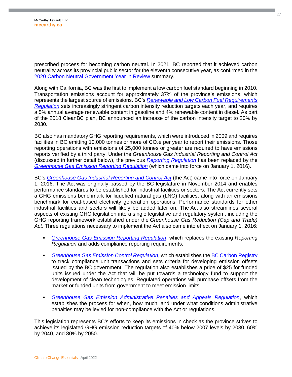prescribed process for becoming carbon neutral. In 2021, BC reported that it achieved carbon neutrality across its provincial public sector for the eleventh consecutive year, as confirmed in the [2020 Carbon Neutral Government Year in Review](https://www2.gov.bc.ca/assets/gov/environment/climate-change/cng/yir/2020-cng.pdf) summary.

Along with California, BC was the first to implement a low carbon fuel standard beginning in 2010. Transportation emissions account for approximately 37% of the province's emissions, which represents the largest source of emissions. BC's *[Renewable and Low Carbon Fuel Requirements](http://www.bclaws.ca/Recon/document/ID/freeside/00_08016_01)  Regulation* [sets increasingly stringent carbon intensity reduction targets each year, and requires](http://www.bclaws.ca/Recon/document/ID/freeside/00_08016_01)  a 5% annual average renewable content in gasoline and 4% renewable content in diesel. As part of the 2018 CleanBC plan, BC announced an increase of the carbon intensity target to 20% by 2030.

BC also has mandatory GHG reporting requirements, which were introduced in 2009 and requires facilities in BC emitting 10,000 tonnes or more of  $CO<sub>2</sub>e$  per year to report their emissions. Those reporting operations with emissions of 25,000 tonnes or greater are required to have emissions reports verified by a third party. Under the *Greenhouse Gas Industrial Reporting and Control Act* (discussed in further detail below), the previous *[Reporting Regulation](http://www.bclaws.ca/Recon/document/ID/freeside/272_2009)* has been replaced by the *[Greenhouse Gas Emission Reporting Regulation](http://www.bclaws.ca/civix/document/id/lc/statreg/249_2015)* (which came into force on January 1, 2016).

BC's *[Greenhouse Gas Industrial Reporting and Control Act](http://www.bclaws.ca/civix/document/id/complete/statreg/14029_01)* (the Act) came into force on January 1, 2016. The Act was originally passed by the BC legislature in November 2014 and enables performance standards to be established for industrial facilities or sectors. The Act currently sets a GHG emissions benchmark for liquefied natural gas (LNG) facilities, along with an emissions benchmark for coal-based electricity generation operations. Performance standards for other industrial facilities and sectors will likely be added later on. The Act also streamlines several aspects of existing GHG legislation into a single legislative and regulatory system, including the GHG reporting framework established under the *Greenhouse Gas Reduction (Cap and Trade) Act*. Three regulations necessary to implement the Act also came into effect on January 1, 2016:

- *[Greenhouse Gas Emission Reporting Regulation](http://www2.gov.bc.ca/assets/gov/environment/climate-change/policy-legislation-and-responses/legislation-and-regulations/249_2015.pdf)*, which replaces the existing *Reporting Regulation* and adds compliance reporting requirements.
- **[Greenhouse Gas Emission Control Regulation](https://www.bclaws.gov.bc.ca/civix/document/id/lc/statreg/250_2015)**, which establishes the **BC Carbon Registry** to track compliance unit transactions and sets criteria for developing emission offsets issued by the BC government. The regulation also establishes a price of \$25 for funded units issued under the Act that will be put towards a technology fund to support the development of clean technologies. Regulated operations will purchase offsets from the market or funded units from government to meet emission limits.
- *[Greenhouse Gas Emission Administrative Penalties and Appeals Regulation](https://www.bclaws.gov.bc.ca/civix/document/id/lc/statreg/248_2015)*, which establishes the process for when, how much, and under what conditions administrative penalties may be levied for non-compliance with the Act or regulations.

This legislation represents BC's efforts to keep its emissions in check as the province strives to achieve its legislated GHG emission reduction targets of 40% below 2007 levels by 2030, 60% by 2040, and 80% by 2050.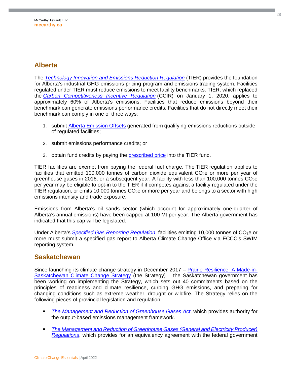### <span id="page-27-0"></span>**Alberta**

The *[Technology Innovation and Emissions Reduction Regulation](https://open.alberta.ca/publications/2019_133)* (TIER) provides the foundation for Alberta's industrial GHG emissions pricing program and emissions trading system. Facilities regulated under TIER must reduce emissions to meet facility benchmarks. TIER, which replaced the *[Carbon Competitiveness Incentive Regulation](https://www.alberta.ca/carbon-competitiveness-incentive-regulation.aspx)* (CCIR) on January 1, 2020, applies to approximately 60% of Alberta's emissions. Facilities that reduce emissions beyond their benchmark can generate emissions performance credits. Facilities that do not directly meet their benchmark can comply in one of three ways:

- 1. submit [Alberta Emission Offsets](https://www.alberta.ca/alberta-emission-offset-system.aspx) generated from qualifying emissions reductions outside of regulated facilities;
- 2. submit emissions performance credits; or
- 3. obtain fund credits by paying the [prescribed price](https://open.alberta.ca/dataset/702d8346-ee7c-4018-9713-c7eb3a06a8e8/resource/dcb31650-ccab-46fd-aa6d-6515a3c6380b/download/aep-ministerial-order-87-2021.pdf) into the TIER fund.

TIER facilities are exempt from paying the federal fuel charge. The TIER regulation applies to facilities that emitted 100,000 tonnes of carbon dioxide equivalent  $CO<sub>2</sub>e$  or more per year of greenhouse gases in 2016, or a subsequent year. A facility with less than 100,000 tonnes  $CO<sub>2</sub>e$ per year may be eligible to opt-in to the TIER if it competes against a facility regulated under the TIER regulation, or emits 10,000 tonnes  $CO<sub>2</sub>e$  or more per year and belongs to a sector with high emissions intensity and trade exposure.

Emissions from Alberta's oil sands sector (which account for approximately one-quarter of Alberta's annual emissions) have been capped at 100 Mt per year. The Alberta government has indicated that this cap will be legislated.

Under Alberta's *[Specified Gas Reporting Regulation](https://open.alberta.ca/publications/2004_251)*, facilities emitting 10,000 tonnes of CO<sub>2</sub>e or more must submit a specified gas report to Alberta Climate Change Office via ECCC's SWIM reporting system.

#### <span id="page-27-1"></span>**Saskatchewan**

Since launching its climate change strategy in December 2017 – [Prairie Resilience: A Made-in-](http://publications.gov.sk.ca/documents/66/104890-2017%20Climate%20Change%20Strategy.pdf)[Saskatchewan Climate Change Strategy \(the Strategy\) – the Saskatchewan government has](http://publications.gov.sk.ca/documents/66/104890-2017%20Climate%20Change%20Strategy.pdf)  been working on implementing the Strategy, which sets out 40 commitments based on the principles of readiness and climate resilience, curbing GHG emissions, and preparing for changing conditions such as extreme weather, drought or wildfire. The Strategy relies on the following pieces of provincial legislation and regulation:

- *[The Management and Reduction of Greenhouse Gases Act](https://publications.saskatchewan.ca/#/products/88509)*, which provides authority for the output-based emissions management framework.
- *[The Management and Reduction of Greenhouse Gases \(General and Electricity Producer\)](https://publications.saskatchewan.ca/#/products/88541)  Regulations*[, which provides for an equivalency agreement with the federal government](https://publications.saskatchewan.ca/#/products/88541)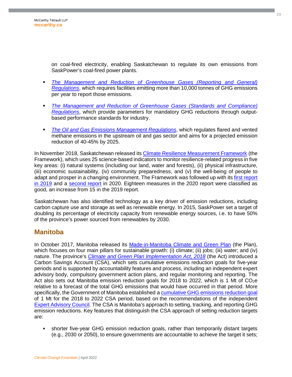on coal-fired electricity, enabling Saskatchewan to regulate its own emissions from SaskPower's coal-fired power plants.

- **The Management and Reduction of Greenhouse Gases (Reporting and General)** *Regulations*[, which requires facilities emitting more than 10,000 tonnes of GHG emissions](https://publications.saskatchewan.ca/#/products/90973)  per year to report those emissions.
- **The Management and Reduction of Greenhouse Gases (Standards and Compliance)** *Regulations*[, which provide parameters for mandatory GHG reductions through output](https://publications.saskatchewan.ca/#/products/92803)based performance standards for industry.
- *[The Oil and Gas Emissions Management Regulations](https://publications.saskatchewan.ca/#/products/92804)*, which regulates flared and vented methane emissions in the upstream oil and gas sector and aims for a projected emission reduction of 40-45% by 2025.

In November 2018, Saskatchewan released its [Climate Resilience Measurement Framework](https://publications.saskatchewan.ca/api/v1/products/92479/formats/109479/download) (the Framework), which uses 25 science-based indicators to monitor resilience-related progress in five key areas: (i) natural systems (including our land, water and forests), (ii) physical infrastructure, (iii) economic sustainability, (iv) community preparedness, and (v) the well-being of people to adapt and prosper in a changing environment. The Framework was followed up with its [first report](https://pubsaskdev.blob.core.windows.net/pubsask-prod/110800/110438-Climate%252BResilience%252Bin%252BSaskatchewan%252B-%252B2019%252BReport.pdf)  [in 2019 and a](https://pubsaskdev.blob.core.windows.net/pubsask-prod/110800/110438-Climate%252BResilience%252Bin%252BSaskatchewan%252B-%252B2019%252BReport.pdf) [second report](https://pubsaskdev.blob.core.windows.net/pubsask-prod/118976/Climate%252BResilience%252Bin%252BSaskatchewan%252B-%252B2020%252BReport.pdf) [in 2020. Eighteen measures in the 2020 report were classified as](https://pubsaskdev.blob.core.windows.net/pubsask-prod/110800/110438-Climate%252BResilience%252Bin%252BSaskatchewan%252B-%252B2019%252BReport.pdf)  good, an increase from 15 in the 2019 report.

Saskatchewan has also identified technology as a key driver of emission reductions, including carbon capture use and storage as well as renewable energy. In 2015, SaskPower set a target of doubling its percentage of electricity capacity from renewable energy sources, i.e. to have 50% of the province's power sourced from renewables by 2030.

#### <span id="page-28-0"></span>**Manitoba**

In October 2017, Manitoba released its [Made-in-Manitoba Climate and Green Plan](https://www.gov.mb.ca/asset_library/en/climatechange/climategreenplandiscussionpaper.pdf) (the Plan), which focuses on four main pillars for sustainable growth: (i) climate; (ii) jobs; (iii) water; and (iv) nature. The province's *[Climate and Green Plan Implementation Act, 2018](https://web2.gov.mb.ca/bills/41-3/b016re.php)* (the Act) introduced a Carbon Savings Account (CSA), which sets cumulative emissions reduction goals for five-year periods and is supported by accountability features and process, including an independent expert advisory body, compulsory government action plans, and regular monitoring and reporting. The Act also sets out Manitoba emission reduction goals for 2018 to 2022, which is 1 Mt of  $CO<sub>2</sub>e$ relative to a forecast of the total GHG emissions that would have occurred in that period. More specifically, the Government of Manitoba established a [cumulative GHG emissions reduction goal](https://manitoba.ca/asset_library/en/eac/direction-letter.pdf) of 1 Mt for the 2018 to 2022 CSA period, based on the recommendations of the independent [Expert Advisory Council](https://manitoba.ca/eac/)*.* The CSA is Manitoba's approach to setting, tracking, and reporting GHG emission reductions. Key features that distinguish the CSA approach of setting reduction targets are:

 shorter five-year GHG emission reduction goals, rather than temporarily distant targets (e.g., 2030 or 2050), to ensure governments are accountable to achieve the target it sets;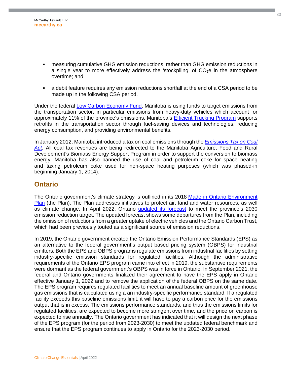- measuring cumulative GHG emission reductions, rather than GHG emission reductions in a single year to more effectively address the 'stockpiling' of  $CO<sub>2</sub>e$  in the atmosphere overtime; and
- a debit feature requires any emission reductions shortfall at the end of a CSA period to be made up in the following CSA period.

Under the federal [Low Carbon Economy Fund](https://www.canada.ca/en/environment-climate-change/services/climate-change/low-carbon-economy-fund.html), Manitoba is using funds to target emissions from the transportation sector, in particular emissions from heavy-duty vehicles which account for approximately 11% of the province's emissions. Manitoba's [Efficient Trucking Program](https://www.rrc.ca/vtec/efficient-trucking-program/) supports retrofits in the transportation sector through fuel-saving devices and technologies, reducing energy consumption, and providing environmental benefits.

In January 2012, Manitoba introduced a tax on coal emissions through the *[Emissions Tax on Coal](http://faolex.fao.org/docs/pdf/mn115217.pdf)*  Act. All coal tax revenues are being redirected to the Manitoba Agriculture, Food and Rural Development's Biomass Energy Support Program in order to support the conversion to biomass energy. Manitoba has also banned the use of coal and petroleum coke for space heating and taxing petroleum coke used for non-space heating purposes (which was phased-in beginning January 1, 2014).

#### <span id="page-29-0"></span>**Ontario**

The Ontario government's climate strategy is outlined in its 2018 [Made in Ontario Environment](https://www.ontario.ca/page/made-in-ontario-environment-plan)  Plan [\(the Plan\). The Plan addresses initiatives to protect air, land and water resources, as well](https://www.ontario.ca/page/made-in-ontario-environment-plan)  as climate change. In April 2022, Ontario [updated its forecast](https://ero.ontario.ca/notice/019-5316#supporting-materials) to meet the province's 2030 emission reduction target. The updated forecast shows some departures from the Plan, including the omission of reductions from a greater uptake of electric vehicles and the Ontario Carbon Trust, which had been previously touted as a significant source of emission reductions.

In 2019, the Ontario government created the Ontario Emission Performance Standards (EPS) as an alternative to the federal government's output based pricing system (OBPS) for industrial emitters. Both the EPS and OBPS programs regulate emissions from industrial facilities by setting industry-specific emission standards for regulated facilities. Although the administrative requirements of the Ontario EPS program came into effect in 2019, the substantive requirements were dormant as the federal government's OBPS was in force in Ontario. In September 2021, the federal and Ontario governments finalized their agreement to have the EPS apply in Ontario effective January 1, 2022 and to remove the application of the federal OBPS on the same date. The EPS program requires regulated facilities to meet an annual baseline amount of greenhouse gas emissions that is calculated using a an industry-specific performance standard. If a regulated facility exceeds this baseline emissions limit, it will have to pay a carbon price for the emissions output that is in excess. The emissions performance standards, and thus the emissions limits for regulated facilities, are expected to become more stringent over time, and the price on carbon is expected to rise annually. The Ontario government has indicated that it will design the next phase of the EPS program (for the period from 2023-2030) to meet the updated federal benchmark and ensure that the EPS program continues to apply in Ontario for the 2023-2030 period.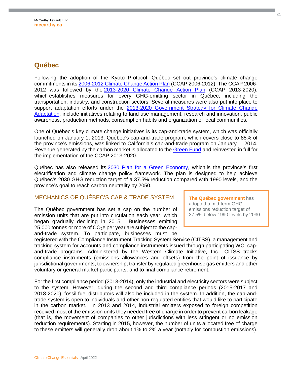#### <span id="page-30-0"></span>**Québec**

Following the adoption of the Kyoto Protocol, Québec set out province's climate change commitments in its [2006-2012 Climate Change Action Plan](http://www.mddelcc.gouv.qc.ca/changements/plan_action/2006-2012_en.pdf) (CCAP 2006-2012). The CCAP 2006- 2012 was followed by the [2013-2020 Climate Change Action Plan](http://www.mddelcc.gouv.qc.ca/changements/plan_action/pacc2020-en.pdf) (CCAP 2013-2020), which establishes measures for every GHG-emitting sector in Québec, including the transportation, industry, and construction sectors. Several measures were also put into place to support adaptation efforts under the 2013-2020 Government Strategy for Climate Change [Adaptation, include initiatives relating to land use management, research and innovation, public](http://www.mddelcc.gouv.qc.ca/changements/plan_action/stategie-adaptation2013-2020-en.pdf)  awareness, production methods, consumption habits and organization of local communities.

One of Québec's key climate change initiatives is its cap-and-trade system, which was officially launched on January 1, 2013. Québec's cap-and-trade program, which covers close to 85% of the province's emissions, was linked to California's cap-and-trade program on January 1, 2014. Revenue generated by the carbon market is allocated to the [Green Fund](http://www.mddelcc.gouv.qc.ca/ministere/fonds-vert/index-en.htm) and reinvested in full for the implementation of the CCAP 2013-2020.

Québec has also released its [2030 Plan for a Green Economy](https://cdn-contenu.quebec.ca/cdn-contenu/adm/min/environnement/publications-adm/plan-economie-verte/plan-economie-verte-2030-en.pdf?1635262991), which is the province's first electrification and climate change policy framework. The plan is designed to help achieve Québec's 2030 GHG reduction target of a 37.5% reduction compared with 1990 levels, and the province's goal to reach carbon neutrality by 2050.

#### MECHANICS OF QUÉBEC'S CAP & TRADE SYSTEM

The Québec government has set a cap on the number of emission units that are put into circulation each year, which began gradually declining in 2015. Businesses emitting 25,000 tonnes or more of  $CO<sub>2</sub>e$  per year are subject to the capand-trade system. To participate, businesses must be

**The Québec government** has adopted a mid-term GHG emissions reduction target of 37.5% below 1990 levels by 2030.

registered with the Compliance Instrument Tracking System Service (CITSS), a management and tracking system for accounts and compliance instruments issued through participating WCI capand-trade programs. Administered by the Western Climate Initiative, Inc., CITSS tracks compliance instruments (emissions allowances and offsets) from the point of issuance by jurisdictional governments, to ownership, transfer by regulated greenhouse gas emitters and other voluntary or general market participants, and to final compliance retirement.

For the first compliance period (2013-2014), only the industrial and electricity sectors were subject to the system. However, during the second and third compliance periods (2015-2017 and 2018-2020), fossil fuel distributors will also be included in the system. In addition, the cap-andtrade system is open to individuals and other non-regulated entities that would like to participate in the carbon market. In 2013 and 2014, industrial emitters exposed to foreign competition received most of the emission units they needed free of charge in order to prevent carbon leakage (that is, the movement of companies to other jurisdictions with less stringent or no emission reduction requirements). Starting in 2015, however, the number of units allocated free of charge to these emitters will generally drop about 1% to 2% a year (notably for combustion emissions).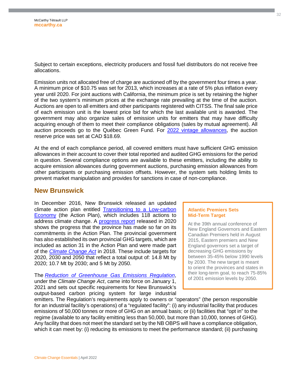Subject to certain exceptions, electricity producers and fossil fuel distributors do not receive free allocations.

Emission units not allocated free of charge are auctioned off by the government four times a year. A minimum price of \$10.75 was set for 2013, which increases at a rate of 5% plus inflation every year until 2020. For joint auctions with California, the minimum price is set by retaining the higher of the two system's minimum prices at the exchange rate prevailing at the time of the auction. Auctions are open to all emitters and other participants registered with CITSS. The final sale price of each emission unit is the lowest price bid for which the last available unit is awarded. The government may also organize sales of emission units for emitters that may have difficulty acquiring enough of them to meet their compliance obligations (sales by mutual agreement). All auction proceeds go to the Québec Green Fund. For [2022 vintage allowances,](https://www.environnement.gouv.qc.ca/changements/carbone/ventes-encheres/budget-unites-emissions2022-EN.pdf) the auction reserve price was set at CAD \$18.69.

At the end of each compliance period, all covered emitters must have sufficient GHG emission allowances in their account to cover their total reported and audited GHG emissions for the period in question. Several compliance options are available to these emitters, including the ability to acquire emission allowances during government auctions, purchasing emission allowances from other participants or purchasing emission offsets. However, the system sets holding limits to prevent market manipulation and provides for sanctions in case of non-compliance.

#### <span id="page-31-0"></span>**New Brunswick**

In December 2016, New Brunswick released an updated climate action plan entitled [Transitioning to a Low-carbon](http://www2.gnb.ca/content/dam/gnb/Departments/env/pdf/Climate-Climatiques/TransitioningToALowCarbonEconomy.pdf)  [Economy \(the Action Plan\), which includes 118 actions to](http://www2.gnb.ca/content/dam/gnb/Departments/env/pdf/Climate-Climatiques/TransitioningToALowCarbonEconomy.pdf)  address climate change. A [progress report](https://www2.gnb.ca/content/dam/gnb/Departments/env/pdf/Climate-Climatiques/nb-climate-change-action-plan-progress-report-2020.pdf) released in 2020 shows the progress that the province has made so far on its commitments in the Action Plan. The provincial government has also established its own provincial GHG targets, which are included as action 31 in the Action Plan and were made part of the *[Climate Change Act](https://www.canlii.org/en/nb/laws/stat/snb-2018-c-11/latest/snb-2018-c-11.html)* in 2018. These include targets for 2020, 2030 and 2050 that reflect a total output of: 14.8 Mt by 2020; 10.7 Mt by 2030; and 5 Mt by 2050.

The *[Reduction of Greenhouse Gas Emissions Regulation](http://laws.gnb.ca/en/showdoc/cr/2021-43)*, under the *Climate Change Act*, came into force on January 1, 2021 and sets out specific requirements for New Brunswick's output-based carbon pricing system for large industrial

#### **Atlantic Premiers Sets Mid-Term Target**

At the 39th annual conference of New England Governors and Eastern Canadian Premiers held in August 2015, Eastern premiers and New England governors set a target of decreasing GHG emissions by between 35-45% below 1990 levels by 2030. The new target is meant to orient the provinces and states in their long-term goal, to reach 75-85% of 2001 emission levels by 2050.

emitters. The Regulation's requirements apply to owners or "operators" (the person responsible for an industrial facility's operations) of a "regulated facility": (i) any industrial facility that produces emissions of 50,000 tonnes or more of GHG on an annual basis; or (ii) facilities that "opt in" to the regime (available to any facility emitting less than 50,000, but more than 10,000, tonnes of GHG). Any facility that does not meet the standard set by the NB OBPS will have a compliance obligation, which it can meet by: (i) reducing its emissions to meet the performance standard; (ii) purchasing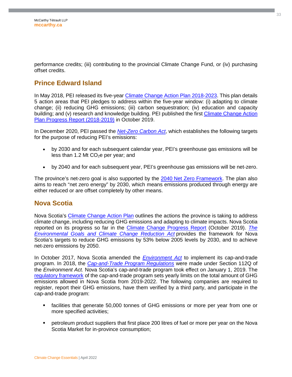performance credits; (iii) contributing to the provincial Climate Change Fund, or (iv) purchasing offset credits.

#### <span id="page-32-0"></span>**Prince Edward Island**

In May 2018, PEI released its five-year [Climate Change Action Plan](https://www.princeedwardisland.ca/sites/default/files/publications/climatechange2018_f8.pdf) 2018-2023. This plan details 5 action areas that PEI pledges to address within the five-year window: (i) adapting to climate change; (ii) reducing GHG emissions; (iii) carbon sequestration; (iv) education and capacity building; and (v) research and knowledge building. PEI published the first [Climate Change Action](https://www.princeedwardisland.ca/en/publication/climate-change-action-plan-progress-report-2018-2019)  [Plan Progress Report \(2018-2019\) in October 2019.](https://www.princeedwardisland.ca/en/publication/climate-change-action-plan-progress-report-2018-2019) 

In December 2020, PEI passed the *[Net-Zero Carbon Act](https://docs.assembly.pe.ca/download/dms?objectId=b8f96ea4-04c9-4ce3-8dc2-5de2a24d9c69&fileName=bill-127.pdf)*, which establishes the following targets for the purpose of reducing PEI's emissions:

- by 2030 and for each subsequent calendar year, PEI's greenhouse gas emissions will be less than 1.2 Mt  $CO<sub>2</sub>e$  per year; and
- by 2040 and for each subsequent year, PEI's greenhouse gas emissions will be net-zero.

The province's net-zero goal is also supported by the [2040 Net Zero Framework.](https://www.princeedwardisland.ca/en/publication/2040-net-zero-framework) The plan also aims to reach "net zero energy" by 2030, which means emissions produced through energy are either reduced or are offset completely by other means.

#### <span id="page-32-1"></span>**Nova Scotia**

Nova Scotia's [Climate Change Action Plan](https://climatechange.novascotia.ca/sites/default/files/Climate_Change_Action_Plan_2009.pdf) outlines the actions the province is taking to address climate change, including reducing GHG emissions and adapting to climate impacts. Nova Scotia reported on its progress so far in the [Climate Change Progress Report](https://climatechange.novascotia.ca/sites/default/files/Climate-Change-Progress-Report-October-2019.pdf) (October 2019). *[The](https://nslegislature.ca/legc/bills/64th_1st/3rd_read/b057.htm)  [Environmental Goals and Climate Change Reduction Act](https://nslegislature.ca/legc/bills/64th_1st/3rd_read/b057.htm)* provides the framework for Nova Scotia's targets to reduce GHG emissions by 53% below 2005 levels by 2030, and to achieve net-zero emissions by 2050.

In October 2017, Nova Scotia amended the *[Environment Act](https://nslegislature.ca/sites/default/files/legc/PDFs/annual%20statutes/2017%20Fall/c010.pdf)* to implement its cap-and-trade program. In 2018, the *[Cap-and-Trade Program Regulations](https://www.novascotia.ca/just/regulations/regs/envcapandtrade.htm)* were made under Section 112Q of the *Environment Act.* Nova Scotia's cap-and-trade program took effect on January 1, 2019. The [regulatory framework](https://climatechange.novascotia.ca/sites/default/files/Nova-Scotia-Cap-and-Trade-Regulatory-Framework.pdf) of the cap-and-trade program sets yearly limits on the total amount of GHG emissions allowed in Nova Scotia from 2019-2022. The following companies are required to register, report their GHG emissions, have them verified by a third party, and participate in the cap-and-trade program:

- facilities that generate 50,000 tonnes of GHG emissions or more per year from one or more specified activities;
- petroleum product suppliers that first place 200 litres of fuel or more per year on the Nova Scotia Market for in-province consumption;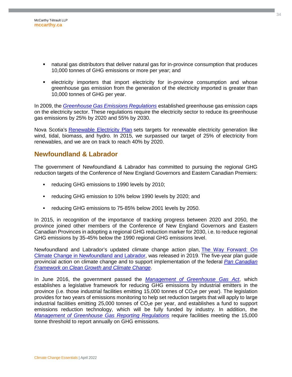- natural gas distributors that deliver natural gas for in-province consumption that produces 10,000 tonnes of GHG emissions or more per year; and
- **EXECTER IMPORTER** importers that import electricity for in-province consumption and whose greenhouse gas emission from the generation of the electricity imported is greater than 10,000 tonnes of GHG per year.

In 2009, the *[Greenhouse Gas Emissions Regulations](https://www.novascotia.ca/JUST/REGULATIONS/regs/envgreenhouse.htm)* established greenhouse gas emission caps on the electricity sector. These regulations require the electricity sector to reduce its greenhouse gas emissions by 25% by 2020 and 55% by 2030.

Nova Scotia's [Renewable Electricity Plan](https://energy.novascotia.ca/sites/default/files/renewable-electricity-plan.pdf) sets targets for renewable electricity generation like wind, tidal, biomass, and hydro. In 2015, we surpassed our target of 25% of electricity from renewables, and we are on track to reach 40% by 2020.

#### <span id="page-33-0"></span>**Newfoundland & Labrador**

The government of Newfoundland & Labrador has committed to pursuing the regional GHG reduction targets of the Conference of New England Governors and Eastern Canadian Premiers:

- **reducing GHG emissions to 1990 levels by 2010;**
- reducing GHG emission to 10% below 1990 levels by 2020; and
- **•** reducing GHG emissions to 75-85% below 2001 levels by 2050.

In 2015, in recognition of the importance of tracking progress between 2020 and 2050, the province joined other members of the Conference of New England Governors and Eastern Canadian Provinces in adopting a regional GHG reduction marker for 2030, i.e. to reduce regional GHG emissions by 35-45% below the 1990 regional GHG emissions level.

Newfoundland and Labrador's updated climate change action plan, [The Way Forward: On](https://www.gov.nl.ca/ecc/files/publications-the-way-forward-climate-change.pdf)  [Climate Change in Newfoundland and Labrador, was released in 2019. The five-year plan guide](https://www.gov.nl.ca/ecc/files/publications-the-way-forward-climate-change.pdf)  provincial action on climate change and to support implementation of the federal *[Pan Canadian](https://www.canada.ca/en/services/environment/weather/climatechange/pan-canadian-framework.html)  [Framework on Clean Growth and Climate Change](https://www.canada.ca/en/services/environment/weather/climatechange/pan-canadian-framework.html)*.

In June 2016, the government passed the *[Management of Greenhouse Gas Act](http://www.assembly.nl.ca/legislation/sr/tablestatutes/tableofpublicstatutes_m01-001.htm)*, which establishes a legislative framework for reducing GHG emissions by industrial emitters in the province (i.e. those industrial facilities emitting 15,000 tonnes of CO2e per year). The legislation provides for two years of emissions monitoring to help set reduction targets that will apply to large industrial facilities emitting 25,000 tonnes of  $CO<sub>2</sub>e$  per year, and establishes a fund to support emissions reduction technology, which will be fully funded by industry. In addition, the *[Management of Greenhouse Gas Reporting Regulations](http://www.assembly.nl.ca/Legislation/sr/Regulations/rc170014.htm)* require facilities meeting the 15,000 tonne threshold to report annually on GHG emissions.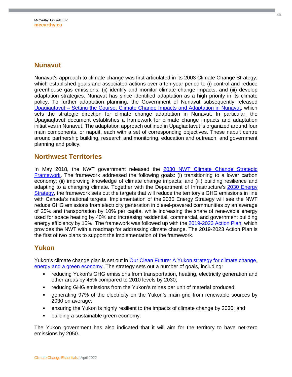#### <span id="page-34-0"></span>**Nunavut**

Nunavut's approach to climate change was first articulated in its 2003 Climate Change Strategy, which established goals and associated actions over a ten-year period to (i) control and reduce greenhouse gas emissions, (ii) identify and monitor climate change impacts, and (iii) develop adaptation strategies. Nunavut has since identified adaptation as a high priority in its climate policy. To further adaptation planning, the Government of Nunavut subsequently released [Upagiaqtavut – Setting the Course: Climate Change Impacts and Adaptation in Nunavut](http://www.gov.nu.ca/sites/default/files/3154-315_climate_english_sm.pdf), which sets the strategic direction for climate change adaptation in Nunavut. In particular, the Upagiaqtavut document establishes a framework for climate change impacts and adaptation initiatives in Nunavut. The adaptation approach outlined in Upagiaqtavut is organized around four main components, or napuit, each with a set of corresponding objectives. These napuit centre around partnership building, research and monitoring, education and outreach, and government planning and policy.

#### <span id="page-34-1"></span>**Northwest Territories**

In May 2018, the NWT government released the [2030 NWT Climate Change Strategic](https://www.enr.gov.nt.ca/sites/enr/files/resources/128-climate_change_strategic_framework_web.pdf)  [Framework. The framework addressed the following goals: \(i\) transitioning to a lower carbon](https://www.enr.gov.nt.ca/sites/enr/files/resources/128-climate_change_strategic_framework_web.pdf)  economy; (ii) improving knowledge of climate change impacts; and (iii) building resilience and adapting to a changing climate. Together with the Department of Infrastructure's [2030 Energy](https://www.inf.gov.nt.ca/sites/inf/files/resources/gnwt_inf_7272_energy_strategy_web-eng.pdf)  Strategy, the framework sets out the targets that will reduce the territory's GHG emissions in line with Canada's national targets. Implementation of the 2030 Energy Strategy will see the NWT reduce GHG emissions from electricity generation in diesel-powered communities by an average of 25% and transportation by 10% per capita, while increasing the share of renewable energy used for space heating by 40% and increasing residential, commercial, and government building energy efficiency by 15%. The framework was followed up with the [2019-2023 Action Plan](https://www.enr.gov.nt.ca/sites/enr/files/resources/128-climate_change_ap_proof.pdf), which provides the NWT with a roadmap for addressing climate change. The 2019-2023 Action Plan is the first of two plans to support the implementation of the framework.

#### <span id="page-34-2"></span>**Yukon**

Yukon's climate change plan is set out in [Our Clean Future: A Yukon strategy for climate change,](https://yukon.ca/en/our-clean-future-yukon-strategy-climate-change-energy-and-green-economy)  energy and a green economy. The strategy sets out a number of goals, including:

- reducing Yukon's GHG emissions from transportation, heating, electricity generation and other areas by 45% compared to 2010 levels by 2030;
- reducing GHG emissions from the Yukon's mines per unit of material produced;
- generating 97% of the electricity on the Yukon's main grid from renewable sources by 2030 on average;
- ensuring the Yukon is highly resilient to the impacts of climate change by 2030; and
- building a sustainable green economy.

The Yukon government has also indicated that it will aim for the territory to have net-zero emissions by 2050.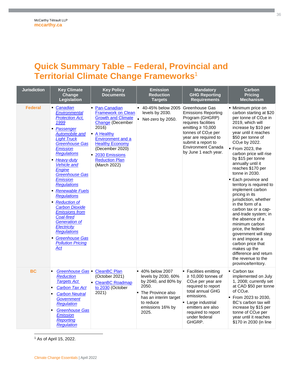# <span id="page-35-0"></span>**Quick Summary Table – Federal, Provincial and Territorial Climate Change Frameworks**[1](#page-35-1)

| <b>Jurisdiction</b> | <b>Key Climate</b><br>Change<br><b>Legislation</b>                                                                                                                                                                                                                                                                                                                                                                                                                                                                                                              | <b>Key Policy</b><br><b>Documents</b>                                                                                                                                                                                                         | <b>Emission</b><br><b>Reduction</b><br><b>Targets</b>                                                                                                           | <b>Mandatory</b><br><b>GHG Reporting</b><br><b>Requirements</b>                                                                                                                                                                                        | <b>Carbon</b><br><b>Pricing</b><br><b>Mechanism</b>                                                                                                                                                                                                                                                                                                                                                                                                                                                                                                                                                                                                                                                                                                                 |
|---------------------|-----------------------------------------------------------------------------------------------------------------------------------------------------------------------------------------------------------------------------------------------------------------------------------------------------------------------------------------------------------------------------------------------------------------------------------------------------------------------------------------------------------------------------------------------------------------|-----------------------------------------------------------------------------------------------------------------------------------------------------------------------------------------------------------------------------------------------|-----------------------------------------------------------------------------------------------------------------------------------------------------------------|--------------------------------------------------------------------------------------------------------------------------------------------------------------------------------------------------------------------------------------------------------|---------------------------------------------------------------------------------------------------------------------------------------------------------------------------------------------------------------------------------------------------------------------------------------------------------------------------------------------------------------------------------------------------------------------------------------------------------------------------------------------------------------------------------------------------------------------------------------------------------------------------------------------------------------------------------------------------------------------------------------------------------------------|
| <b>Federal</b>      | • Canadian<br>Environmental<br><b>Protection Act,</b><br>1999<br>• Passenger<br>Automobile and<br><b>Light Truck</b><br><b>Greenhouse Gas</b><br><b>Emission</b><br><b>Regulations</b><br>Heavy-duty<br><b>Vehicle and</b><br>Engine<br><b>Greenhouse Gas</b><br><b>Emission</b><br><b>Regulations</b><br>Renewable Fuels<br><b>Regulations</b><br>Reduction of<br><b>Carbon Dioxide</b><br><b>Emissions from</b><br><b>Coal-fired</b><br><b>Generation of</b><br>Electricity<br><b>Regulations</b><br><b>Greenhouse Gas</b><br><b>Pollution Pricing</b><br>Act | Pan-Canadian<br><b>Framework on Clean</b><br><b>Growth and Climate</b><br>Change (December<br>2016)<br>A Healthy<br>Environment and a<br><b>Healthy Economy</b><br>(December 2020)<br>2030 Emissions<br><b>Reduction Plan</b><br>(March 2022) | ■ 40-45% below 2005<br>levels by 2030.<br>$\blacksquare$<br>Net-zero by 2050.                                                                                   | Greenhouse Gas<br><b>Emissions Reporting</b><br>Program (GHGRP)<br>requires facilities<br>emitting $\geq 10,000$<br>tonnes of CO <sub>2</sub> e per<br>year are required to<br>submit a report to<br><b>Environment Canada</b><br>by June 1 each year. | • Minimum price on<br>carbon starting at \$20<br>per tonne of CO <sub>2</sub> e in<br>2019, which will<br>increase by \$10 per<br>year until it reaches<br>\$50 per tonne of<br>CO <sub>2</sub> e by 2022.<br>$\blacksquare$ From 2023, the<br>carbon price will rise<br>by \$15 per tonne<br>annually until it<br>reaches \$170 per<br>tonne in 2030.<br><b>Each province and</b><br>territory is required to<br>implement carbon<br>pricing in its<br>jurisdiction, whether<br>in the form of a<br>carbon tax or a cap-<br>and-trade system; in<br>the absence of a<br>minimum carbon<br>price, the federal<br>government will step<br>in and impose a<br>carbon price that<br>makes up the<br>difference and return<br>the revenue to the<br>province/territory. |
| <b>BC</b>           | Greenhouse Gas   CleanBC Plan<br><b>Reduction</b><br><b>Targets Act</b><br><b>Carbon Tax Act</b><br><b>Carbon Neutral</b><br><b>Government</b><br><b>Regulation</b><br><b>Greenhouse Gas</b><br>Emission<br><b>Reporting</b><br>Regulation                                                                                                                                                                                                                                                                                                                      | (October 2021)<br><b>CleanBC Roadmap</b><br>to 2030 (October<br>2021)                                                                                                                                                                         | ■ 40% below 2007<br>levels by 2030, 60%<br>by 2040, and 80% by<br>2050.<br>The Province also<br>has an interim target<br>to reduce<br>emissions 16% by<br>2025. | • Facilities emitting<br>$\geq$ 10,000 tonnes of<br>CO <sub>2</sub> e per year are<br>required to report<br>total annual GHG<br>emissions.<br>Large industrial<br>emitters are also<br>required to report<br>under federal<br>GHGRP.                   | • Carbon tax<br>implemented on July<br>1, 2008; currently set<br>at CAD \$50 per tonne<br>of CO <sub>2</sub> e.<br>• From 2023 to 2030,<br>BC's carbon tax will<br>increase by \$15 per<br>tonne of CO <sub>2</sub> e per<br>year until it reaches<br>\$170 in 2030 (in line                                                                                                                                                                                                                                                                                                                                                                                                                                                                                        |

<span id="page-35-1"></span>1 As of April 15, 2022.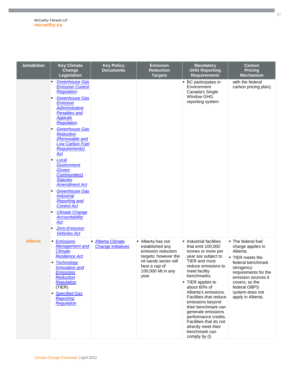| <b>Jurisdiction</b> | <b>Key Climate</b><br>Change<br>Legislation                                                                                                                                                                                                                                                                                                                                                                                                                                                                                                                                                                                    | <b>Key Policy</b><br><b>Documents</b>                    | <b>Emission</b><br><b>Reduction</b><br><b>Targets</b>                                                                                                      | <b>Mandatory</b><br><b>GHG Reporting</b><br><b>Requirements</b>                                                                                                                                                                                                                                                                                                                                                                      | Carbon<br><b>Pricing</b><br><b>Mechanism</b>                                                                                                                                                                                        |
|---------------------|--------------------------------------------------------------------------------------------------------------------------------------------------------------------------------------------------------------------------------------------------------------------------------------------------------------------------------------------------------------------------------------------------------------------------------------------------------------------------------------------------------------------------------------------------------------------------------------------------------------------------------|----------------------------------------------------------|------------------------------------------------------------------------------------------------------------------------------------------------------------|--------------------------------------------------------------------------------------------------------------------------------------------------------------------------------------------------------------------------------------------------------------------------------------------------------------------------------------------------------------------------------------------------------------------------------------|-------------------------------------------------------------------------------------------------------------------------------------------------------------------------------------------------------------------------------------|
|                     | <b>Greenhouse Gas</b><br><b>Emission Control</b><br><b>Regulation</b><br><b>Greenhouse Gas</b><br><b>Emission</b><br><b>Administrative</b><br><b>Penalties and</b><br><b>Appeals</b><br><b>Regulation</b><br><b>Greenhouse Gas</b><br><b>Reduction</b><br>(Renewable and<br><b>Low Carbon Fuel</b><br><b>Requirements)</b><br>Act<br>Local<br>٠<br><b>Government</b><br>(Green<br><b>Communities</b> )<br><b>Statutes</b><br><b>Amendment Act</b><br><b>Greenhouse Gas</b><br><b>Industrial</b><br><b>Reporting and</b><br><b>Control Act</b><br><b>Climate Change</b><br><b>Accountability</b><br>Act<br><b>Zero-Emission</b> |                                                          |                                                                                                                                                            | • BC participates in<br>Environment<br>Canada's Single<br><b>Window GHG</b><br>reporting system.                                                                                                                                                                                                                                                                                                                                     | with the federal<br>carbon pricing plan).                                                                                                                                                                                           |
| <b>Alberta</b>      | <b>Vehicles Act</b><br>• Emissions<br><b>Management and</b><br><b>Climate</b><br><b>Resilience Act</b><br><b>Technology</b><br>٠<br><b>Innovation</b> and<br><b>Emissions</b><br>Reduction<br><b>Regulation</b><br>(TIER)<br>• Specified Gas<br><b>Reporting</b><br>Regulation                                                                                                                                                                                                                                                                                                                                                 | <b>Alberta Climate</b><br>٠<br><b>Change Initiatives</b> | • Alberta has not<br>established anv<br>emission reduction<br>targets; however the<br>oil sands sector will<br>face a cap of<br>100,000 Mt in any<br>year. | • Industrial facilities<br>that emit 100,000<br>tonnes or more per<br>year are subject to<br>TIER and must<br>reduce emissions to<br>meet facility<br>benchmarks.<br>• TIER applies to<br>about 60% of<br>Alberta's emissions.<br>Facilities that reduce<br>emissions beyond<br>their benchmark can<br>generate emissions<br>performance credits.<br>Facilities that do not<br>directly meet their<br>benchmark can<br>comply by (i) | • The federal fuel<br>charge applies in<br>Alberta.<br>• TIER meets the<br>federal benchmark<br>stringency<br>requirements for the<br>emission sources it<br>covers, so the<br>federal OBPS<br>system does not<br>apply in Alberta. |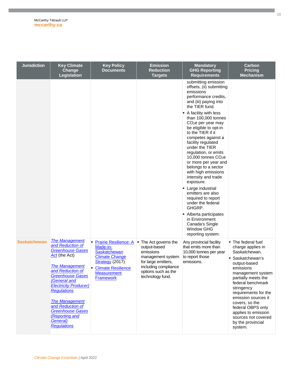| <b>Jurisdiction</b> | <b>Key Climate</b><br>Change<br><b>Legislation</b>                                                                                                                                                                                                                                                                                                       | <b>Key Policy</b><br><b>Documents</b>                                                                                                                                       | <b>Emission</b><br><b>Reduction</b><br><b>Targets</b>                                                                                                             | <b>Mandatory</b><br><b>GHG Reporting</b><br><b>Requirements</b>                                                                                                                                                                                                                                                                                                                                                                                                                                                                                              | Carbon<br><b>Pricing</b><br><b>Mechanism</b>                                                                                                                                                                                                                                                                                                                 |
|---------------------|----------------------------------------------------------------------------------------------------------------------------------------------------------------------------------------------------------------------------------------------------------------------------------------------------------------------------------------------------------|-----------------------------------------------------------------------------------------------------------------------------------------------------------------------------|-------------------------------------------------------------------------------------------------------------------------------------------------------------------|--------------------------------------------------------------------------------------------------------------------------------------------------------------------------------------------------------------------------------------------------------------------------------------------------------------------------------------------------------------------------------------------------------------------------------------------------------------------------------------------------------------------------------------------------------------|--------------------------------------------------------------------------------------------------------------------------------------------------------------------------------------------------------------------------------------------------------------------------------------------------------------------------------------------------------------|
|                     |                                                                                                                                                                                                                                                                                                                                                          |                                                                                                                                                                             |                                                                                                                                                                   | submitting emission<br>offsets, (ii) submitting<br>emissions<br>performance credits,<br>and (iii) paying into<br>the TIER fund.                                                                                                                                                                                                                                                                                                                                                                                                                              |                                                                                                                                                                                                                                                                                                                                                              |
|                     |                                                                                                                                                                                                                                                                                                                                                          |                                                                                                                                                                             |                                                                                                                                                                   | A facility with less<br>than 100,000 tonnes<br>$CO2e$ per year may<br>be eligible to opt-in<br>to the TIER if it<br>competes against a<br>facility regulated<br>under the TIER<br>regulation, or emits<br>10,000 tonnes CO <sub>2</sub> e<br>or more per year and<br>belongs to a sector<br>with high emissions<br>intensity and trade<br>exposure.<br>• Large industrial<br>emitters are also<br>required to report<br>under the federal<br>GHGRP.<br>• Alberta participates<br>in Environment<br>Canada's Single<br><b>Window GHG</b><br>reporting system. |                                                                                                                                                                                                                                                                                                                                                              |
| <b>Saskatchewan</b> | <b>The Management</b><br>and Reduction of<br><b>Greenhouse Gases</b><br>Act (the Act)<br><b>The Management</b><br>and Reduction of<br>Greenhouse Gases<br>(General and<br><b>Electricity Producer)</b><br><b>Regulations</b><br><b>The Management</b><br>and Reduction of<br><b>Greenhouse Gases</b><br>(Reporting and<br>General)<br><b>Regulations</b> | <b>Prairie Resilience: A</b><br>Made-in-<br>Saskatchewan<br><b>Climate Change</b><br>Strategy (2017)<br><b>Climate Resilience</b><br><b>Measurement</b><br><b>Framework</b> | • The Act governs the<br>output-based<br>emissions<br>management system<br>for large emitters,<br>including compliance<br>options such as the<br>technology fund. | Any provincial facility<br>that emits more than<br>10,000 tonnes per year<br>to report those<br>emissions.                                                                                                                                                                                                                                                                                                                                                                                                                                                   | • The federal fuel<br>charge applies in<br>Saskatchewan.<br>• Saskatchewan's<br>output-based<br>emissions<br>management system<br>partially meets the<br>federal benchmark<br>stringency<br>requirements for the<br>emission sources it<br>covers, so the<br>federal OBPS only<br>applies to emission<br>sources not covered<br>by the provincial<br>system. |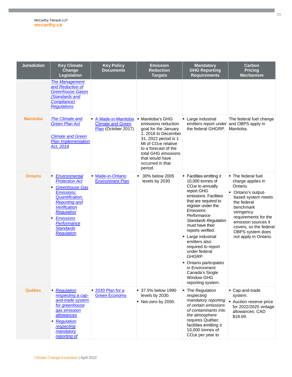| <b>Jurisdiction</b> | <b>Key Climate</b><br>Change<br><b>Legislation</b>                                                                                                                                                                                                    | <b>Key Policy</b><br><b>Documents</b>                                 | <b>Emission</b><br><b>Reduction</b><br><b>Targets</b>                                                                                                                                                                                               | <b>Mandatory</b><br><b>GHG Reporting</b><br><b>Requirements</b>                                                                                                                                                                                                                                                                                                                                                                                              | Carbon<br><b>Pricing</b><br><b>Mechanism</b>                                                                                                                                                                                                                     |
|---------------------|-------------------------------------------------------------------------------------------------------------------------------------------------------------------------------------------------------------------------------------------------------|-----------------------------------------------------------------------|-----------------------------------------------------------------------------------------------------------------------------------------------------------------------------------------------------------------------------------------------------|--------------------------------------------------------------------------------------------------------------------------------------------------------------------------------------------------------------------------------------------------------------------------------------------------------------------------------------------------------------------------------------------------------------------------------------------------------------|------------------------------------------------------------------------------------------------------------------------------------------------------------------------------------------------------------------------------------------------------------------|
|                     | <b>The Management</b><br>and Reduction of<br><b>Greenhouse Gases</b><br>(Standards and<br>Compliance)<br><b>Regulations</b>                                                                                                                           |                                                                       |                                                                                                                                                                                                                                                     |                                                                                                                                                                                                                                                                                                                                                                                                                                                              |                                                                                                                                                                                                                                                                  |
| <b>Manitoba</b>     | <b>The Climate and</b><br><b>Green Plan Act</b><br><b>Climate and Green</b><br><b>Plan Implementation</b><br>Act, 2018                                                                                                                                | A Made-in-Manitoba<br><b>Climate and Green</b><br>Plan (October 2017) | • Manitoba's GHG<br>emissions reduction<br>goal for the January<br>1, 2018 to December<br>31, 2022 period is 1<br>Mt of CO <sub>2</sub> e relative<br>to a forecast of the<br>total GHG emissions<br>that would have<br>occurred in that<br>period. | Large industrial<br>emitters report under and OBPS apply in<br>the federal GHGRP.                                                                                                                                                                                                                                                                                                                                                                            | The federal fuel change<br>Manitoba.                                                                                                                                                                                                                             |
| <b>Ontario</b>      | <b>Environmental</b><br><b>Protection Act</b><br><b>Greenhouse Gas</b><br>٠<br><b>Emissions:</b><br><b>Quantification,</b><br><b>Reporting and</b><br>Verification<br>Regulation<br><b>Emissions</b><br>Performance<br><b>Standards</b><br>Regulation | <b>Made-in-Ontario</b><br><b>Environment Plan</b>                     | 30% below 2005<br>levels by 2030                                                                                                                                                                                                                    | ■ Facilities emitting $≥$<br>10,000 tonnes of<br>CO <sub>2</sub> e to annually<br>report GHG<br>emissions. Facilities<br>that are required to<br>register under the<br>Emissions<br>Performance<br><b>Standards Regulation</b><br>must have their<br>reports verified.<br>Large industrial<br>emitters also<br>required to report<br>under federal<br>GHGRP.<br>Ontario participates<br>in Environment<br>Canada's Single<br>Window GHG<br>reporting system. | • The federal fuel<br>charge applies in<br>Ontario.<br>- Ontario's output-<br>based system meets<br>the federal<br>benchmark<br>stringency<br>requirements for the<br>emission sources it<br>covers, so the federal<br>OBPS system does<br>not apply in Ontario. |
| <b>Québec</b>       | Regulation<br>٠<br>respecting a cap-<br>and-trade system<br>for greenhouse<br>gas emission<br>allowances<br>Regulation<br>٠<br>respecting<br>mandatory<br>reporting of                                                                                | • 2030 Plan for a<br><b>Green Economy</b>                             | ■ 37.5% below 1990<br>levels by 2030.<br>$\blacksquare$ Net-zero by 2050.                                                                                                                                                                           | • The Regulation<br>respecting<br>mandatory reporting<br>of certain emissions<br>of contaminants into<br>the atmosphere<br>requires Québec<br>facilities emitting ≥<br>10,000 tonnes of<br>CO <sub>2</sub> e per year to                                                                                                                                                                                                                                     | Cap-and-trade<br>system.<br>٠<br>Auction reserve price<br>for 2022/2025 vintage<br>allowances: CAD<br>\$18.69.                                                                                                                                                   |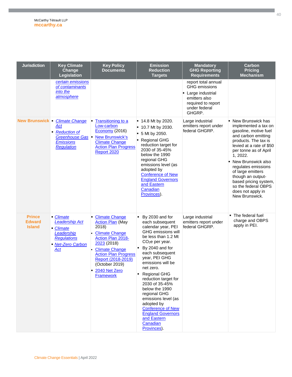| <b>Jurisdiction</b>                             | <b>Key Climate</b><br>Change<br>Legislation                                                                         | <b>Key Policy</b><br><b>Documents</b>                                                                                                                                                                                                                      | <b>Emission</b><br><b>Reduction</b><br><b>Targets</b>                                                                                                                                                                                                                                                                                                                                                                                                                   | <b>Mandatory</b><br><b>GHG Reporting</b><br><b>Requirements</b>                                                                     | Carbon<br><b>Pricing</b><br><b>Mechanism</b>                                                                                                                                                                                                                                                                                                                       |
|-------------------------------------------------|---------------------------------------------------------------------------------------------------------------------|------------------------------------------------------------------------------------------------------------------------------------------------------------------------------------------------------------------------------------------------------------|-------------------------------------------------------------------------------------------------------------------------------------------------------------------------------------------------------------------------------------------------------------------------------------------------------------------------------------------------------------------------------------------------------------------------------------------------------------------------|-------------------------------------------------------------------------------------------------------------------------------------|--------------------------------------------------------------------------------------------------------------------------------------------------------------------------------------------------------------------------------------------------------------------------------------------------------------------------------------------------------------------|
|                                                 | certain emissions<br>of contaminants<br>into the<br>atmosphere                                                      |                                                                                                                                                                                                                                                            |                                                                                                                                                                                                                                                                                                                                                                                                                                                                         | report total annual<br><b>GHG</b> emissions<br>• Large industrial<br>emitters also<br>required to report<br>under federal<br>GHGRP. |                                                                                                                                                                                                                                                                                                                                                                    |
|                                                 | New Brunswick Climate Change<br>Act<br><b>Reduction of</b><br>٠<br>Greenhouse Gas<br><b>Emissions</b><br>Regulation | <b>Transitioning to a</b><br>Low-carbon<br>Economy (2016)<br><b>New Brunswick's</b><br><b>Climate Change</b><br><b>Action Plan Progress</b><br>Report 2020                                                                                                 | $\blacksquare$ 14.8 Mt by 2020.<br>$\blacksquare$ 10.7 Mt by 2030.<br>5 Mt by 2050.<br>■ Regional GHG<br>reduction target for<br>2030 of 35-45%<br>below the 1990<br>regional GHG<br>emissions level (as<br>adopted by<br><b>Conference of New</b><br><b>England Governors</b><br>and Eastern<br>Canadian<br>Provinces).                                                                                                                                                | Large industrial<br>emitters report under<br>federal GHGRP.                                                                         | • New Brunswick has<br>implemented a tax on<br>gasoline, motive fuel<br>and carbon emitting<br>products. The tax is<br>levied at a rate of \$50<br>per tonne as of April<br>1, 2022.<br>New Brunswick also<br>regulates emissions<br>of large emitters<br>though an output-<br>based pricing system,<br>so the federal OBPS<br>does not apply in<br>New Brunswick. |
| <b>Prince</b><br><b>Edward</b><br><b>Island</b> | • Climate<br><b>Leadership Act</b><br>- Climate<br>Leadership<br><b>Regulations</b><br>• Net-Zero Carbon<br>Act     | <b>Climate Change</b><br><b>Action Plan (May</b><br>2018)<br><b>Climate Change</b><br>Action Plan 2018-<br>2023(2018)<br><b>Climate Change</b><br><b>Action Plan Progress</b><br>Report (2018-2019)<br>(October 2019)<br>2040 Net Zero<br><b>Framework</b> | By 2030 and for<br>each subsequent<br>calendar year, PEI<br><b>GHG emissions will</b><br>be less than 1.2 Mt<br>CO <sub>2</sub> e per year.<br>By 2040 and for<br>each subsequent<br>year, PEI GHG<br>emissions will be<br>net zero.<br>Regional GHG<br>reduction target for<br>2030 of 35-45%<br>below the 1990<br>regional GHG<br>emissions level (as<br>adopted by<br><b>Conference of New</b><br><b>England Governors</b><br>and Eastern<br>Canadian<br>Provinces). | Large industrial<br>emitters report under<br>federal GHGRP.                                                                         | The federal fuel<br>charge and OBPS<br>apply in PEI.                                                                                                                                                                                                                                                                                                               |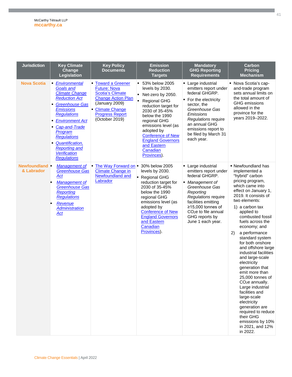| <b>Jurisdiction</b>          | <b>Key Climate</b><br>Change<br>Legislation                                                                                                                                                                                                                                                                                               | <b>Key Policy</b><br><b>Documents</b>                                                                                                                                                         | <b>Emission</b><br><b>Reduction</b><br><b>Targets</b>                                                                                                                                                                                                                                              | <b>Mandatory</b><br><b>GHG Reporting</b><br><b>Requirements</b>                                                                                                                                                                                               | Carbon<br><b>Pricing</b><br><b>Mechanism</b>                                                                                                                                                                                                                                                                                                                                                                                                                                                                                                                                                                                                                                |
|------------------------------|-------------------------------------------------------------------------------------------------------------------------------------------------------------------------------------------------------------------------------------------------------------------------------------------------------------------------------------------|-----------------------------------------------------------------------------------------------------------------------------------------------------------------------------------------------|----------------------------------------------------------------------------------------------------------------------------------------------------------------------------------------------------------------------------------------------------------------------------------------------------|---------------------------------------------------------------------------------------------------------------------------------------------------------------------------------------------------------------------------------------------------------------|-----------------------------------------------------------------------------------------------------------------------------------------------------------------------------------------------------------------------------------------------------------------------------------------------------------------------------------------------------------------------------------------------------------------------------------------------------------------------------------------------------------------------------------------------------------------------------------------------------------------------------------------------------------------------------|
| <b>Nova Scotia</b>           | <b>Environmental</b><br><b>Goals and</b><br><b>Climate Change</b><br><b>Reduction Act</b><br><b>Greenhouse Gas</b><br><b>Emissions</b><br><b>Regulations</b><br><b>Environment Act</b><br>• Cap-and-Trade<br>Program<br><b>Regulations</b><br><b>Quantification,</b><br><b>Reporting and</b><br><b>Verification</b><br><b>Regulations</b> | <b>Toward a Greener</b><br><b>Future: Nova</b><br><b>Scotia's Climate</b><br><b>Change Action Plan</b><br>(January 2009)<br><b>Climate Change</b><br><b>Progress Report</b><br>(October 2019) | ■ 53% below 2005<br>levels by 2030.<br>Net-zero by 2050.<br><b>Regional GHG</b><br>reduction target for<br>2030 of 35-45%<br>below the 1990<br>regional GHG<br>emissions level (as<br>adopted by<br><b>Conference of New</b><br><b>England Governors</b><br>and Eastern<br>Canadian<br>Provinces). | • Large industrial<br>emitters report under<br>federal GHGRP.<br>• For the electricity<br>sector, the<br>Greenhouse Gas<br>Emissions<br>Regulations require<br>an annual GHG<br>emissions report to<br>be filed by March 31<br>each year.                     | • Nova Scotia's cap-<br>and-trade program<br>sets annual limits on<br>the total amount of<br><b>GHG</b> emissions<br>allowed in the<br>province for the<br>years 2019-2022.                                                                                                                                                                                                                                                                                                                                                                                                                                                                                                 |
| Newfoundland -<br>& Labrador | <b>Management of</b><br><b>Greenhouse Gas</b><br>Act<br>Management of<br><b>Greenhouse Gas</b><br><b>Reporting</b><br><b>Regulations</b><br>Revenue<br><b>Administration</b><br><u>Act</u>                                                                                                                                                | • The Way Forward on<br><b>Climate Change in</b><br>Newfoundland and<br>Labrador                                                                                                              | 30% below 2005<br>levels by 2030.<br>• Regional GHG<br>reduction target for<br>2030 of 35-45%<br>below the 1990<br>regional GHG<br>emissions level (as<br>adopted by<br><b>Conference of New</b><br><b>England Governors</b><br>and Eastern<br>Canadian<br>Provinces).                             | • Large industrial<br>emitters report under<br>federal GHGRP.<br>• Management of<br>Greenhouse Gas<br>Reporting<br>Regulations require<br>facilities emitting<br>≥15,000 tonnes of<br>CO <sub>2</sub> e to file annual<br>GHG reports by<br>June 1 each year. | • Newfoundland has<br>implemented a<br>"hybrid" carbon<br>pricing program,<br>which came into<br>effect on January 1,<br>2019. It consists of<br>two elements:<br>1) a carbon tax<br>applied to<br>combusted fossil<br>fuels across the<br>economy; and<br>2)<br>a performance<br>standard system<br>for both onshore<br>and offshore large<br>industrial facilities<br>and large-scale<br>electricity<br>generation that<br>emit more than<br>25,000 tonnes of<br>CO <sub>2</sub> e annually.<br>Large industrial<br>facilities and<br>large-scale<br>electricity<br>generation are<br>required to reduce<br>their GHG<br>emissions by 10%<br>in 2021, and 12%<br>in 2022. |